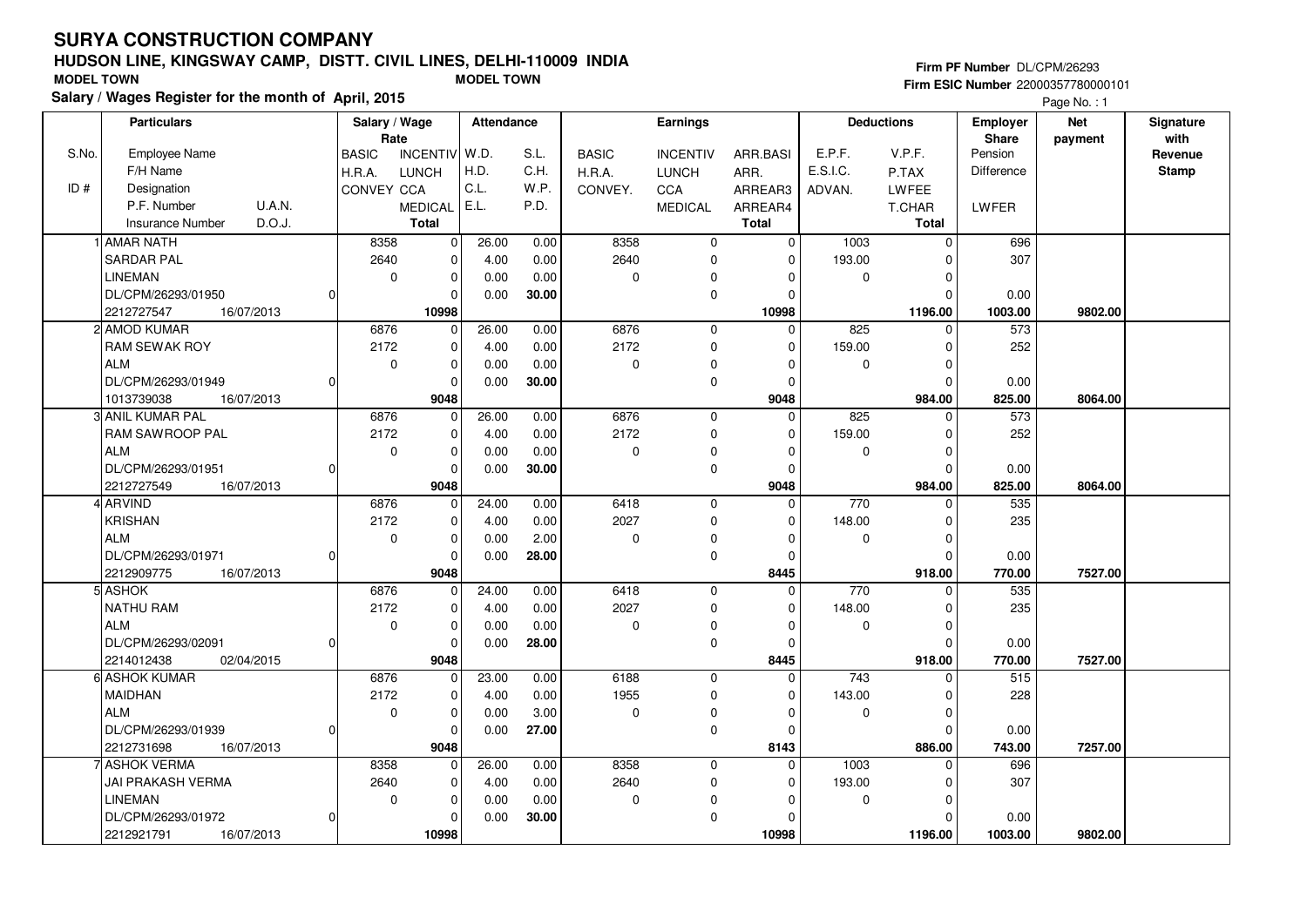## **HUDSON LINE, KINGSWAY CAMP, DISTT. CIVIL LINES, DELHI-110009 INDIASalary / Wages Register for the month of April, 2015 MODEL TOWN MODEL TOWN**

#### **Firm PF Number** DL/CPM/26293 **Firm ESIC Number** 22000357780000101

|       | <b>Particulars</b>                |          | Salary / Wage<br>Rate |                | Attendance |       |              | Earnings        |              |          | <b>Deductions</b> | <b>Employer</b><br>Share | <b>Net</b> | Signature<br>with |
|-------|-----------------------------------|----------|-----------------------|----------------|------------|-------|--------------|-----------------|--------------|----------|-------------------|--------------------------|------------|-------------------|
| S.No. | Employee Name                     |          | <b>BASIC</b>          | INCENTIV W.D.  |            | S.L.  | <b>BASIC</b> | <b>INCENTIV</b> | ARR.BASI     | E.P.F.   | V.P.F.            | Pension                  | payment    | Revenue           |
|       | F/H Name                          |          | H.R.A.                | <b>LUNCH</b>   | H.D.       | C.H.  | H.R.A.       | <b>LUNCH</b>    | ARR.         | E.S.I.C. | P.TAX             | Difference               |            | <b>Stamp</b>      |
| ID#   | Designation                       |          | CONVEY CCA            |                | C.L.       | W.P.  | CONVEY.      | CCA             | ARREAR3      | ADVAN.   | LWFEE             |                          |            |                   |
|       | U.A.N.<br>P.F. Number             |          |                       | <b>MEDICAL</b> | E.L.       | P.D.  |              | <b>MEDICAL</b>  | ARREAR4      |          | T.CHAR            | LWFER                    |            |                   |
|       | D.O.J.<br><b>Insurance Number</b> |          |                       | Total          |            |       |              |                 | <b>Total</b> |          | Total             |                          |            |                   |
|       | <b>LAMAR NATH</b>                 |          | 8358                  | $\pmb{0}$      | 26.00      | 0.00  | 8358         | $\mathbf 0$     | 0            | 1003     | $\mathbf 0$       | 696                      |            |                   |
|       | <b>SARDAR PAL</b>                 |          | 2640                  | $\pmb{0}$      | 4.00       | 0.00  | 2640         | $\mathbf 0$     | $\Omega$     | 193.00   | $\Omega$          | 307                      |            |                   |
|       | <b>LINEMAN</b>                    |          | $\mathbf 0$           | $\pmb{0}$      | 0.00       | 0.00  | 0            | $\pmb{0}$       | $\Omega$     | 0        | $\mathbf 0$       |                          |            |                   |
|       | DL/CPM/26293/01950                | 0        |                       | $\Omega$       | 0.00       | 30.00 |              | $\mathbf 0$     | $\Omega$     |          | $\Omega$          | 0.00                     |            |                   |
|       | 2212727547<br>16/07/2013          |          |                       | 10998          |            |       |              |                 | 10998        |          | 1196.00           | 1003.00                  | 9802.00    |                   |
|       | 2 AMOD KUMAR                      |          | 6876                  | $\mathbf 0$    | 26.00      | 0.00  | 6876         | $\mathbf 0$     | $\Omega$     | 825      | $\Omega$          | 573                      |            |                   |
|       | RAM SEWAK ROY                     |          | 2172                  | $\pmb{0}$      | 4.00       | 0.00  | 2172         | $\mathbf 0$     | $\Omega$     | 159.00   | $\mathbf 0$       | 252                      |            |                   |
|       | <b>ALM</b>                        |          | $\mathbf 0$           | $\Omega$       | 0.00       | 0.00  | 0            | $\mathbf 0$     | $\Omega$     | 0        | $\Omega$          |                          |            |                   |
|       | DL/CPM/26293/01949                | $\Omega$ |                       | $\Omega$       | 0.00       | 30.00 |              | $\mathbf 0$     | $\Omega$     |          | $\mathbf 0$       | 0.00                     |            |                   |
|       | 1013739038<br>16/07/2013          |          |                       | 9048           |            |       |              |                 | 9048         |          | 984.00            | 825.00                   | 8064.00    |                   |
|       | 3 ANIL KUMAR PAL                  |          | 6876                  | $\mathbf 0$    | 26.00      | 0.00  | 6876         | $\mathbf 0$     | $\Omega$     | 825      | $\Omega$          | 573                      |            |                   |
|       | RAM SAWROOP PAL                   |          | 2172                  | $\pmb{0}$      | 4.00       | 0.00  | 2172         | $\pmb{0}$       | $\Omega$     | 159.00   | $\Omega$          | 252                      |            |                   |
|       | <b>ALM</b>                        |          | $\mathbf 0$           | $\mathbf 0$    | 0.00       | 0.00  | 0            | 0               | $\Omega$     | 0        | $\mathbf 0$       |                          |            |                   |
|       | DL/CPM/26293/01951                | $\Omega$ |                       | $\Omega$       | 0.00       | 30.00 |              | $\pmb{0}$       | $\Omega$     |          | $\Omega$          | 0.00                     |            |                   |
|       | 2212727549<br>16/07/2013          |          |                       | 9048           |            |       |              |                 | 9048         |          | 984.00            | 825.00                   | 8064.00    |                   |
|       | 4 ARVIND                          |          | 6876                  | $\mathbf 0$    | 24.00      | 0.00  | 6418         | $\mathbf 0$     | 0            | 770      | $\Omega$          | 535                      |            |                   |
|       | <b>KRISHAN</b>                    |          | 2172                  | $\pmb{0}$      | 4.00       | 0.00  | 2027         | $\pmb{0}$       | $\Omega$     | 148.00   | $\Omega$          | 235                      |            |                   |
|       | <b>ALM</b>                        |          | $\mathbf 0$           | $\mathbf 0$    | 0.00       | 2.00  | $\mathbf 0$  | 0               | $\Omega$     | 0        | $\mathbf 0$       |                          |            |                   |
|       | DL/CPM/26293/01971                | 0        |                       | $\mathbf 0$    | 0.00       | 28.00 |              | $\mathbf 0$     | $\Omega$     |          | $\Omega$          | 0.00                     |            |                   |
|       | 2212909775<br>16/07/2013          |          |                       | 9048           |            |       |              |                 | 8445         |          | 918.00            | 770.00                   | 7527.00    |                   |
|       | 5 ASHOK                           |          | 6876                  | 0              | 24.00      | 0.00  | 6418         | $\mathbf 0$     | $\Omega$     | 770      | $\Omega$          | 535                      |            |                   |
|       | <b>NATHU RAM</b>                  |          | 2172                  | $\mathbf 0$    | 4.00       | 0.00  | 2027         | $\mathbf 0$     | $\Omega$     | 148.00   | $\Omega$          | 235                      |            |                   |
|       | <b>ALM</b>                        |          | 0                     | $\mathbf 0$    | 0.00       | 0.00  | 0            | 0               | $\Omega$     | 0        | 0                 |                          |            |                   |
|       | DL/CPM/26293/02091                | O        |                       | $\mathbf 0$    | 0.00       | 28.00 |              | $\mathbf 0$     | $\Omega$     |          | $\Omega$          | 0.00                     |            |                   |
|       | 02/04/2015<br>2214012438          |          |                       | 9048           |            |       |              |                 | 8445         |          | 918.00            | 770.00                   | 7527.00    |                   |
|       | 6 ASHOK KUMAR                     |          | 6876                  | 0              | 23.00      | 0.00  | 6188         | $\mathbf 0$     | 0            | 743      | $\mathbf 0$       | 515                      |            |                   |
|       | <b>MAIDHAN</b>                    |          | 2172                  | $\mathbf 0$    | 4.00       | 0.00  | 1955         | $\mathbf 0$     | $\Omega$     | 143.00   | $\Omega$          | 228                      |            |                   |
|       | <b>ALM</b>                        |          | $\mathbf 0$           | $\mathbf 0$    | 0.00       | 3.00  | 0            | 0               | $\Omega$     | 0        | 0                 |                          |            |                   |
|       | DL/CPM/26293/01939                | $\Omega$ |                       | $\mathbf 0$    | 0.00       | 27.00 |              | $\mathbf 0$     | $\Omega$     |          | $\Omega$          | 0.00                     |            |                   |
|       | 2212731698<br>16/07/2013          |          |                       | 9048           |            |       |              |                 | 8143         |          | 886.00            | 743.00                   | 7257.00    |                   |
|       | 7l ASHOK VERMA                    |          | 8358                  | 0              | 26.00      | 0.00  | 8358         | $\mathbf 0$     | 0            | 1003     | $\mathbf 0$       | 696                      |            |                   |
|       | JAI PRAKASH VERMA                 |          | 2640                  | $\pmb{0}$      | 4.00       | 0.00  | 2640         | 0               | $\Omega$     | 193.00   | $\Omega$          | 307                      |            |                   |
|       | <b>LINEMAN</b>                    |          | $\mathbf 0$           | $\pmb{0}$      | 0.00       | 0.00  | 0            | 0               | $\Omega$     | 0        | $\Omega$          |                          |            |                   |
|       | DL/CPM/26293/01972                | 0        |                       | $\mathbf 0$    | 0.00       | 30.00 |              | $\pmb{0}$       | $\Omega$     |          | $\Omega$          | 0.00                     |            |                   |
|       | 2212921791<br>16/07/2013          |          |                       | 10998          |            |       |              |                 | 10998        |          | 1196.00           | 1003.00                  | 9802.00    |                   |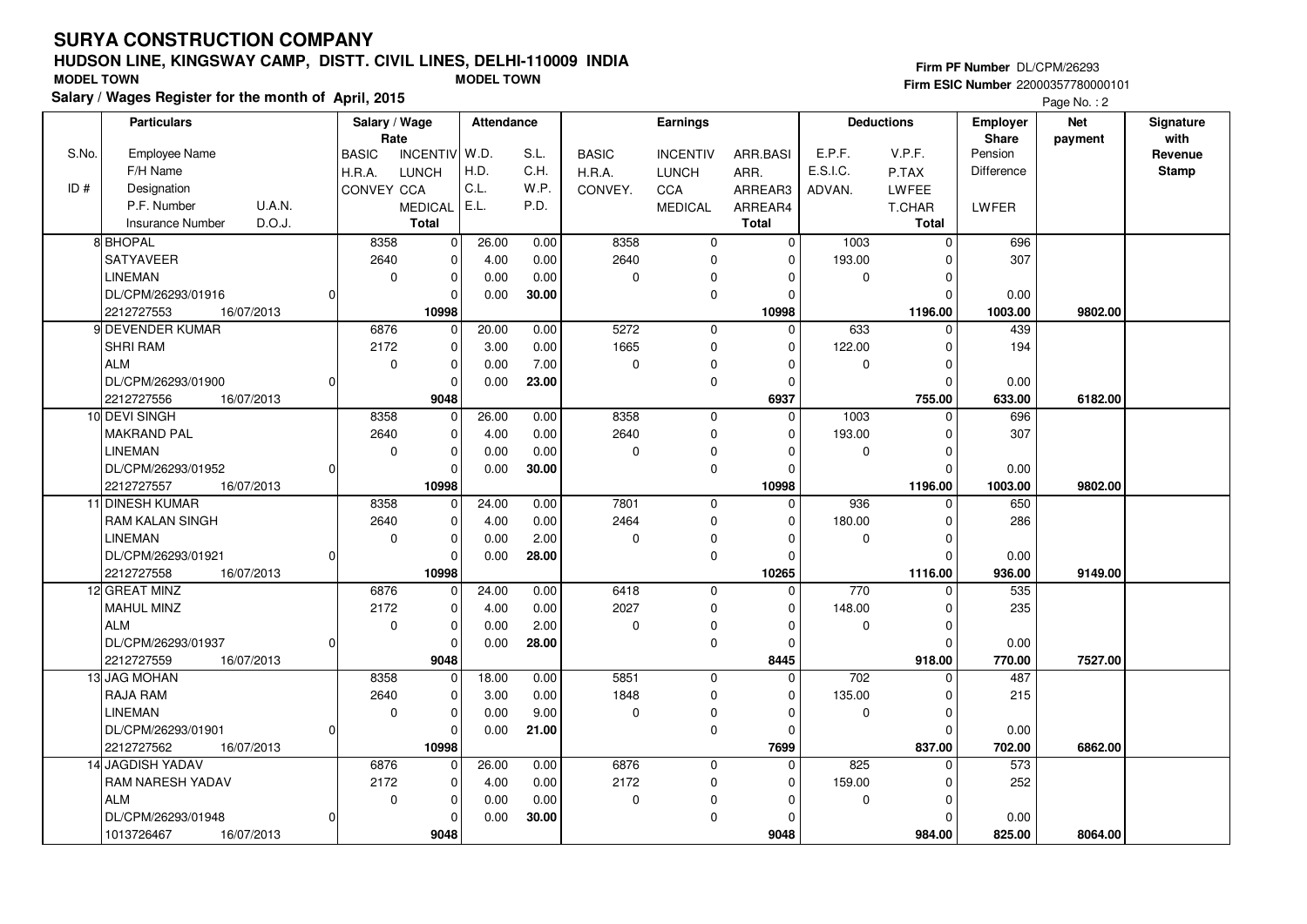## **HUDSON LINE, KINGSWAY CAMP, DISTT. CIVIL LINES, DELHI-110009 INDIASalary / Wages Register for the month of April, 2015 MODEL TOWN MODEL TOWN**

#### **Firm PF Number** DL/CPM/26293

|       | <b>Particulars</b>                |          | Salary / Wage        |                 | Attendance |       |              | Earnings        |              |                  | <b>Deductions</b> | Employer         | <b>Net</b> | Signature       |
|-------|-----------------------------------|----------|----------------------|-----------------|------------|-------|--------------|-----------------|--------------|------------------|-------------------|------------------|------------|-----------------|
| S.No. | <b>Employee Name</b>              |          | Rate<br><b>BASIC</b> | <b>INCENTIV</b> | W.D.       | S.L.  | <b>BASIC</b> | <b>INCENTIV</b> | ARR.BASI     | E.P.F.           | V.P.F.            | Share<br>Pension | payment    | with<br>Revenue |
|       | F/H Name                          |          | H.R.A.               | <b>LUNCH</b>    | H.D.       | C.H.  | H.R.A.       | <b>LUNCH</b>    | ARR.         | E.S.I.C.         | P.TAX             | Difference       |            | <b>Stamp</b>    |
| ID#   | Designation                       |          | CONVEY CCA           |                 | C.L.       | W.P.  | CONVEY.      | <b>CCA</b>      | ARREAR3      | ADVAN.           | LWFEE             |                  |            |                 |
|       | U.A.N.<br>P.F. Number             |          |                      | <b>MEDICAL</b>  | E.L.       | P.D.  |              | <b>MEDICAL</b>  | ARREAR4      |                  | <b>T.CHAR</b>     | LWFER            |            |                 |
|       | D.O.J.<br><b>Insurance Number</b> |          |                      | <b>Total</b>    |            |       |              |                 | <b>Total</b> |                  | <b>Total</b>      |                  |            |                 |
|       | 8 BHOPAL                          |          | 8358                 | 0               | 26.00      | 0.00  | 8358         | $\mathbf 0$     | $\mathbf{0}$ | $\frac{1003}{ }$ | $\mathbf 0$       | 696              |            |                 |
|       | SATYAVEER                         |          | 2640                 | 0               | 4.00       | 0.00  | 2640         | $\mathbf 0$     | 0            | 193.00           | $\Omega$          | 307              |            |                 |
|       | <b>LINEMAN</b>                    |          | $\mathbf 0$          | 0               | 0.00       | 0.00  | 0            | 0               | $\Omega$     | 0                | $\mathbf 0$       |                  |            |                 |
|       | DL/CPM/26293/01916                | $\Omega$ |                      | $\mathbf 0$     | 0.00       | 30.00 |              | $\mathbf 0$     | $\mathbf 0$  |                  | $\Omega$          | 0.00             |            |                 |
|       | 2212727553<br>16/07/2013          |          |                      | 10998           |            |       |              |                 | 10998        |                  | 1196.00           | 1003.00          | 9802.00    |                 |
|       | 9 DEVENDER KUMAR                  |          | 6876                 | $\mathbf 0$     | 20.00      | 0.00  | 5272         | $\mathbf 0$     | $\Omega$     | 633              | 0                 | 439              |            |                 |
|       | <b>SHRI RAM</b>                   |          | 2172                 | $\mathbf 0$     | 3.00       | 0.00  | 1665         | $\mathbf 0$     | $\Omega$     | 122.00           | $\Omega$          | 194              |            |                 |
|       | ALM                               |          | $\mathbf 0$          | 0               | 0.00       | 7.00  | 0            | $\mathbf 0$     | 0            | 0                | $\mathbf 0$       |                  |            |                 |
|       | DL/CPM/26293/01900                | 0        |                      | 0               | 0.00       | 23.00 |              | $\mathbf 0$     | 0            |                  | $\mathbf 0$       | 0.00             |            |                 |
|       | 2212727556<br>16/07/2013          |          |                      | 9048            |            |       |              |                 | 6937         |                  | 755.00            | 633.00           | 6182.00    |                 |
|       | 10 DEVI SINGH                     |          | 8358                 | $\mathbf 0$     | 26.00      | 0.00  | 8358         | $\mathbf 0$     | $\Omega$     | 1003             | $\Omega$          | 696              |            |                 |
|       | <b>MAKRAND PAL</b>                |          | 2640                 | 0               | 4.00       | 0.00  | 2640         | 0               | 0            | 193.00           | $\mathbf 0$       | 307              |            |                 |
|       | <b>LINEMAN</b>                    |          | $\mathbf 0$          | 0               | 0.00       | 0.00  | 0            | 0               | $\Omega$     | 0                | $\mathbf 0$       |                  |            |                 |
|       | DL/CPM/26293/01952                | $\Omega$ |                      | $\mathbf 0$     | 0.00       | 30.00 |              | $\mathbf 0$     | $\Omega$     |                  | $\mathbf 0$       | 0.00             |            |                 |
|       | 2212727557<br>16/07/2013          |          |                      | 10998           |            |       |              |                 | 10998        |                  | 1196.00           | 1003.00          | 9802.00    |                 |
|       | 11 DINESH KUMAR                   |          | 8358                 | 0               | 24.00      | 0.00  | 7801         | $\mathsf 0$     | $\Omega$     | 936              | 0                 | 650              |            |                 |
|       | <b>RAM KALAN SINGH</b>            |          | 2640                 | $\mathbf 0$     | 4.00       | 0.00  | 2464         | $\mathbf 0$     | $\Omega$     | 180.00           | $\mathbf 0$       | 286              |            |                 |
|       | <b>LINEMAN</b>                    |          | $\mathbf 0$          | $\mathbf 0$     | 0.00       | 2.00  | 0            | $\mathbf 0$     | $\Omega$     | 0                | $\mathbf 0$       |                  |            |                 |
|       | DL/CPM/26293/01921                | 01       |                      | $\mathbf 0$     | 0.00       | 28.00 |              | $\mathbf 0$     | $\mathbf 0$  |                  | $\Omega$          | 0.00             |            |                 |
|       | 2212727558<br>16/07/2013          |          |                      | 10998           |            |       |              |                 | 10265        |                  | 1116.00           | 936.00           | 9149.00    |                 |
|       | 12 GREAT MINZ                     |          | 6876                 | 0               | 24.00      | 0.00  | 6418         | $\mathbf 0$     | $\mathbf 0$  | 770              | $\Omega$          | 535              |            |                 |
|       | MAHUL MINZ                        |          | 2172                 | 0               | 4.00       | 0.00  | 2027         | $\mathbf 0$     | $\mathbf 0$  | 148.00           | $\mathbf 0$       | 235              |            |                 |
|       | <b>ALM</b>                        |          | $\mathbf 0$          | $\mathbf 0$     | 0.00       | 2.00  | 0            | $\mathbf 0$     | $\Omega$     | 0                | $\mathbf 0$       |                  |            |                 |
|       | DL/CPM/26293/01937                | 0        |                      | 0               | 0.00       | 28.00 |              | $\mathbf 0$     | $\Omega$     |                  | $\Omega$          | 0.00             |            |                 |
|       | 2212727559<br>16/07/2013          |          |                      | 9048            |            |       |              |                 | 8445         |                  | 918.00            | 770.00           | 7527.00    |                 |
|       | 13 JAG MOHAN                      |          | 8358                 | 0               | 18.00      | 0.00  | 5851         | $\pmb{0}$       | $\Omega$     | 702              | $\Omega$          | 487              |            |                 |
|       | RAJA RAM                          |          | 2640                 | 0               | 3.00       | 0.00  | 1848         | $\mathbf 0$     | $\Omega$     | 135.00           | $\mathbf 0$       | 215              |            |                 |
|       | <b>LINEMAN</b>                    |          | $\mathbf 0$          | 0               | 0.00       | 9.00  | 0            | 0               | 0            | 0                | $\mathbf 0$       |                  |            |                 |
|       | DL/CPM/26293/01901                | 0l       |                      | 0               | 0.00       | 21.00 |              | $\mathbf 0$     | 0            |                  | 0                 | 0.00             |            |                 |
|       | 2212727562<br>16/07/2013          |          |                      | 10998           |            |       |              |                 | 7699         |                  | 837.00            | 702.00           | 6862.00    |                 |
|       | 14 JAGDISH YADAV                  |          | 6876                 | 0               | 26.00      | 0.00  | 6876         | $\mathbf 0$     | $\mathbf 0$  | 825              | $\mathbf 0$       | 573              |            |                 |
|       | <b>RAM NARESH YADAV</b>           |          | 2172                 | 0               | 4.00       | 0.00  | 2172         | $\mathbf 0$     | 0            | 159.00           | $\Omega$          | 252              |            |                 |
|       | l ALM                             |          | $\mathbf 0$          | 0               | 0.00       | 0.00  | 0            | 0               | 0            | 0                | $\mathbf 0$       |                  |            |                 |
|       | DL/CPM/26293/01948                | 0l       |                      | 0               | 0.00       | 30.00 |              | $\mathbf 0$     | $\Omega$     |                  | $\Omega$          | 0.00             |            |                 |
|       | 1013726467<br>16/07/2013          |          |                      | 9048            |            |       |              |                 | 9048         |                  | 984.00            | 825.00           | 8064.00    |                 |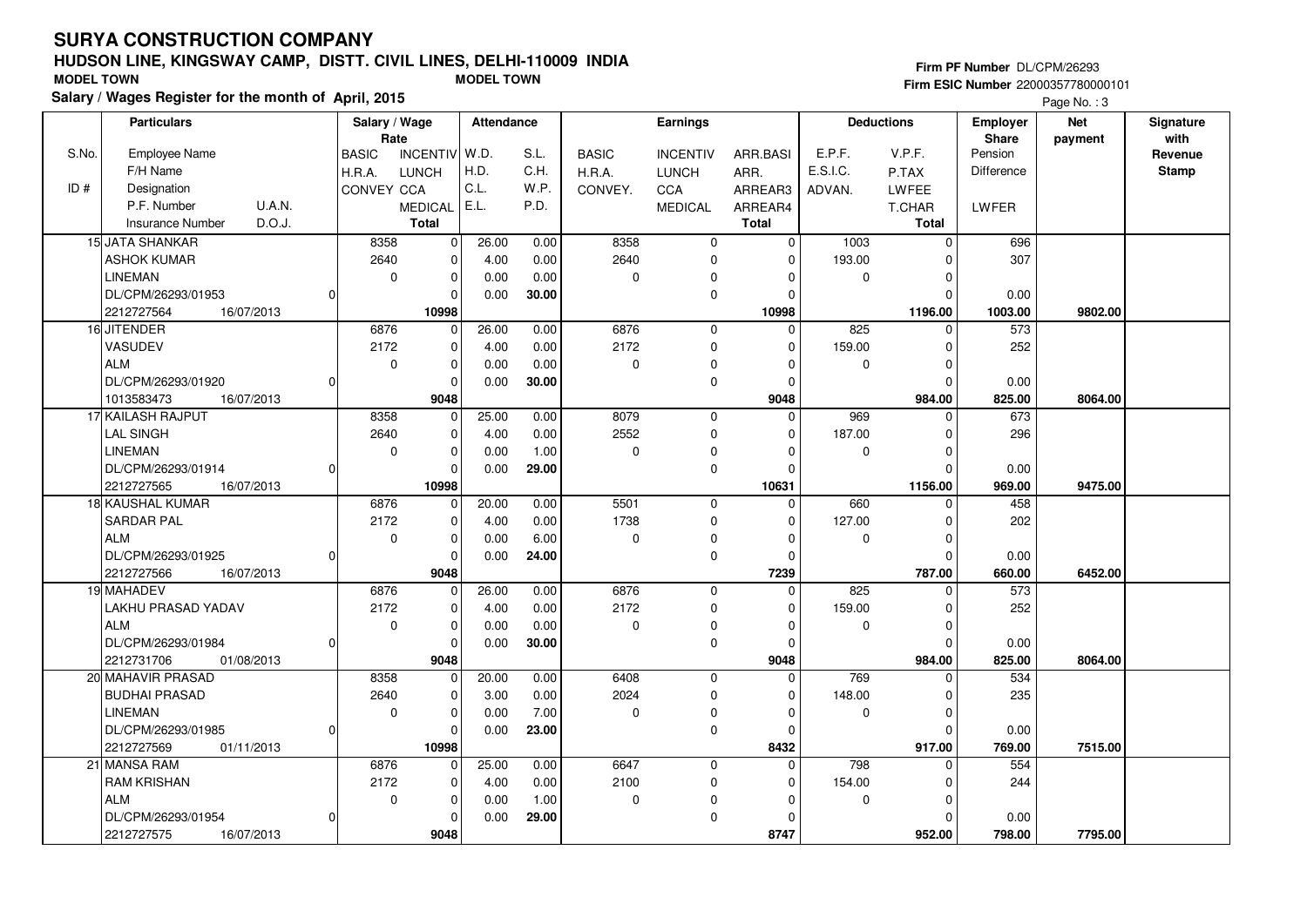## **HUDSON LINE, KINGSWAY CAMP, DISTT. CIVIL LINES, DELHI-110009 INDIASalary / Wages Register for the month of April, 2015 MODEL TOWN MODEL TOWN**

#### **Firm PF Number** DL/CPM/26293

|       | <b>Particulars</b>                |          | Salary / Wage |                 | Attendance |       |              | <b>Earnings</b> |              |             | <b>Deductions</b> | Employer          | <b>Net</b> | Signature    |
|-------|-----------------------------------|----------|---------------|-----------------|------------|-------|--------------|-----------------|--------------|-------------|-------------------|-------------------|------------|--------------|
|       |                                   |          | Rate          |                 |            |       |              |                 |              |             |                   | Share             | payment    | with         |
| S.No. | <b>Employee Name</b>              |          | <b>BASIC</b>  | <b>INCENTIV</b> | W.D.       | S.L.  | <b>BASIC</b> | <b>INCENTIV</b> | ARR.BASI     | E.P.F.      | V.P.F.            | Pension           |            | Revenue      |
|       | F/H Name                          |          | H.R.A.        | <b>LUNCH</b>    | H.D.       | C.H.  | H.R.A.       | <b>LUNCH</b>    | ARR.         | E.S.I.C.    | P.TAX             | <b>Difference</b> |            | <b>Stamp</b> |
| ID#   | Designation                       |          | CONVEY CCA    |                 | C.L.       | W.P.  | CONVEY.      | <b>CCA</b>      | ARREAR3      | ADVAN.      | LWFEE             |                   |            |              |
|       | P.F. Number<br>U.A.N.             |          |               | <b>MEDICAL</b>  | E.L.       | P.D.  |              | <b>MEDICAL</b>  | ARREAR4      |             | T.CHAR            | <b>LWFER</b>      |            |              |
|       | D.O.J.<br><b>Insurance Number</b> |          |               | <b>Total</b>    |            |       |              |                 | <b>Total</b> |             | Total             |                   |            |              |
|       | <b>15 JATA SHANKAR</b>            |          | 8358          | $\mathbf 0$     | 26.00      | 0.00  | 8358         | $\mathbf 0$     | $\mathbf 0$  | 1003        | $\mathbf 0$       | 696               |            |              |
|       | <b>ASHOK KUMAR</b>                |          | 2640          | $\mathbf{0}$    | 4.00       | 0.00  | 2640         | $\mathbf 0$     | $\Omega$     | 193.00      | $\Omega$          | 307               |            |              |
|       | <b>LINEMAN</b>                    |          | $\mathbf 0$   | $\mathbf 0$     | 0.00       | 0.00  | $\mathbf 0$  | 0               | 0            | $\mathbf 0$ | $\Omega$          |                   |            |              |
|       | DL/CPM/26293/01953                | $\Omega$ |               | 0               | 0.00       | 30.00 |              | $\mathbf 0$     | $\mathbf 0$  |             | $\Omega$          | 0.00              |            |              |
|       | 2212727564<br>16/07/2013          |          |               | 10998           |            |       |              |                 | 10998        |             | 1196.00           | 1003.00           | 9802.00    |              |
|       | 16 JITENDER                       |          | 6876          | 0               | 26.00      | 0.00  | 6876         | $\mathbf 0$     | $\Omega$     | 825         | $\Omega$          | 573               |            |              |
|       | VASUDEV                           |          | 2172          | $\mathbf 0$     | 4.00       | 0.00  | 2172         | 0               | 0            | 159.00      | $\Omega$          | 252               |            |              |
|       | ALM                               |          | $\mathbf 0$   | 0               | 0.00       | 0.00  | $\pmb{0}$    | $\Omega$        | $\Omega$     | $\mathbf 0$ | $\Omega$          |                   |            |              |
|       | DL/CPM/26293/01920                | $\Omega$ |               | 0               | 0.00       | 30.00 |              | $\mathbf 0$     | $\Omega$     |             | $\Omega$          | 0.00              |            |              |
|       | 1013583473<br>16/07/2013          |          |               | 9048            |            |       |              |                 | 9048         |             | 984.00            | 825.00            | 8064.00    |              |
|       | 17 KAILASH RAJPUT                 |          | 8358          | $\Omega$        | 25.00      | 0.00  | 8079         | $\mathbf 0$     | $\Omega$     | 969         | $\Omega$          | 673               |            |              |
|       | <b>LAL SINGH</b>                  |          | 2640          | $\mathbf 0$     | 4.00       | 0.00  | 2552         | 0               | $\mathbf 0$  | 187.00      | 0                 | 296               |            |              |
|       | <b>LINEMAN</b>                    |          | $\mathbf 0$   | 0               | 0.00       | 1.00  | $\mathbf 0$  | 0               | $\Omega$     | 0           | $\Omega$          |                   |            |              |
|       | DL/CPM/26293/01914                | O        |               | 0               | 0.00       | 29.00 |              | $\mathbf 0$     | $\Omega$     |             | $\Omega$          | 0.00              |            |              |
|       | 2212727565<br>16/07/2013          |          |               | 10998           |            |       |              |                 | 10631        |             | 1156.00           | 969.00            | 9475.00    |              |
|       | 18 KAUSHAL KUMAR                  |          | 6876          | $\mathbf{0}$    | 20.00      | 0.00  | 5501         | $\pmb{0}$       | $\Omega$     | 660         | $\Omega$          | 458               |            |              |
|       | SARDAR PAL                        |          | 2172          | $\mathbf 0$     | 4.00       | 0.00  | 1738         | $\mathbf 0$     | $\Omega$     | 127.00      | $\Omega$          | 202               |            |              |
|       | <b>ALM</b>                        |          | $\mathbf 0$   | $\mathbf 0$     | 0.00       | 6.00  | 0            | 0               | $\Omega$     | $\mathbf 0$ | $\Omega$          |                   |            |              |
|       | DL/CPM/26293/01925                | $\Omega$ |               | $\Omega$        | 0.00       | 24.00 |              | $\mathbf 0$     | $\Omega$     |             | $\Omega$          | 0.00              |            |              |
|       | 2212727566<br>16/07/2013          |          |               | 9048            |            |       |              |                 | 7239         |             | 787.00            | 660.00            | 6452.00    |              |
|       | 19 MAHADEV                        |          | 6876          | 0               | 26.00      | 0.00  | 6876         | $\mathbf 0$     | $\mathbf 0$  | 825         | 0                 | 573               |            |              |
|       | LAKHU PRASAD YADAV                |          | 2172          | $\mathbf 0$     | 4.00       | 0.00  | 2172         | $\mathbf 0$     | $\Omega$     | 159.00      | $\Omega$          | 252               |            |              |
|       | <b>ALM</b>                        |          | $\mathbf 0$   | $\mathbf 0$     | 0.00       | 0.00  | $\Omega$     | 0               | $\Omega$     | $\mathbf 0$ | $\mathbf 0$       |                   |            |              |
|       | DL/CPM/26293/01984                | $\Omega$ |               | 0               | 0.00       | 30.00 |              | 0               | $\Omega$     |             | $\Omega$          | 0.00              |            |              |
|       | 2212731706<br>01/08/2013          |          |               | 9048            |            |       |              |                 | 9048         |             | 984.00            | 825.00            | 8064.00    |              |
|       | 20 MAHAVIR PRASAD                 |          | 8358          | $\mathbf 0$     | 20.00      | 0.00  | 6408         | $\mathbf 0$     | $\Omega$     | 769         | $\Omega$          | 534               |            |              |
|       | <b>BUDHAI PRASAD</b>              |          | 2640          | 0               | 3.00       | 0.00  | 2024         | $\mathbf 0$     | 0            | 148.00      | $\Omega$          | 235               |            |              |
|       | <b>LINEMAN</b>                    |          | $\mathbf 0$   | $\mathbf 0$     | 0.00       | 7.00  | $\mathbf 0$  | $\mathbf 0$     | $\Omega$     | $\mathbf 0$ | $\Omega$          |                   |            |              |
|       | DL/CPM/26293/01985                | $\Omega$ |               | $\mathbf 0$     | 0.00       | 23.00 |              | $\mathbf 0$     | $\Omega$     |             | $\Omega$          | 0.00              |            |              |
|       | 2212727569<br>01/11/2013          |          |               | 10998           |            |       |              |                 | 8432         |             | 917.00            | 769.00            | 7515.00    |              |
|       | 21 MANSA RAM                      |          | 6876          | $\mathbf{0}$    | 25.00      | 0.00  | 6647         | $\mathbf 0$     | $\Omega$     | 798         | $\Omega$          | 554               |            |              |
|       | <b>RAM KRISHAN</b>                |          | 2172          | 0               | 4.00       | 0.00  | 2100         | $\mathbf 0$     | $\mathbf 0$  | 154.00      | $\Omega$          | 244               |            |              |
|       | <b>ALM</b>                        |          | 0             | 0               | 0.00       | 1.00  | 0            | O               | $\Omega$     | 0           | $\Omega$          |                   |            |              |
|       | DL/CPM/26293/01954                | $\Omega$ |               | 0               | 0.00       | 29.00 |              | $\Omega$        | $\Omega$     |             | $\Omega$          | 0.00              |            |              |
|       | 2212727575<br>16/07/2013          |          |               | 9048            |            |       |              |                 | 8747         |             | 952.00            | 798.00            | 7795.00    |              |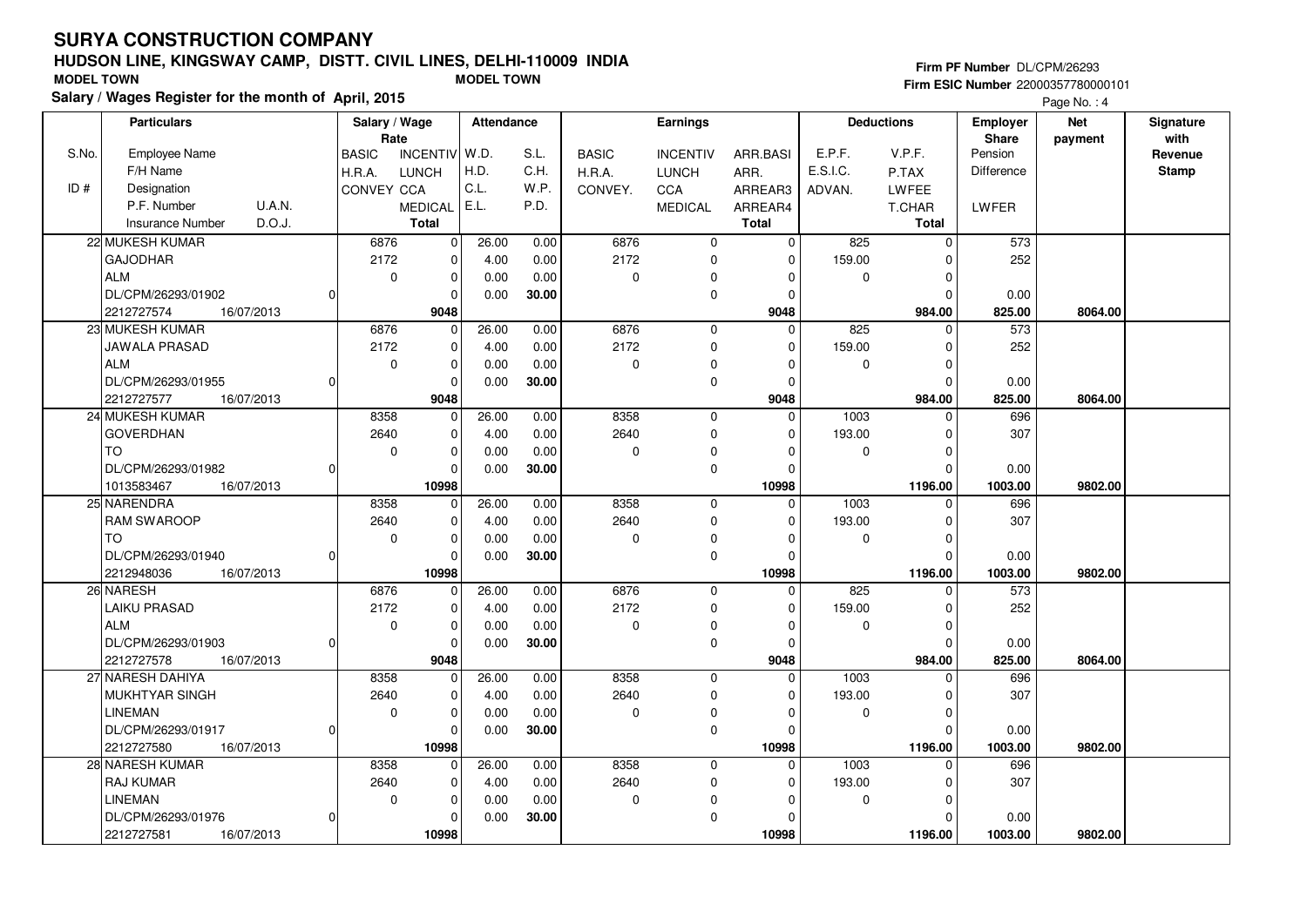## **HUDSON LINE, KINGSWAY CAMP, DISTT. CIVIL LINES, DELHI-110009 INDIASalary / Wages Register for the month of April, 2015 MODEL TOWN MODEL TOWN**

#### **Firm PF Number** DL/CPM/26293

|       | <b>Particulars</b>                | Salary / Wage |                 | Attendance |       |              | Earnings        |              |             | <b>Deductions</b> | <b>Employer</b> | <b>Net</b> | Signature    |
|-------|-----------------------------------|---------------|-----------------|------------|-------|--------------|-----------------|--------------|-------------|-------------------|-----------------|------------|--------------|
|       |                                   | Rate          |                 |            |       |              |                 |              |             |                   | Share           | payment    | with         |
| S.No. | <b>Employee Name</b>              | <b>BASIC</b>  | <b>INCENTIV</b> | W.D.       | S.L.  | <b>BASIC</b> | <b>INCENTIV</b> | ARR.BASI     | E.P.F.      | V.P.F.            | Pension         |            | Revenue      |
|       | F/H Name                          | H.R.A.        | <b>LUNCH</b>    | H.D.       | C.H.  | H.R.A.       | <b>LUNCH</b>    | ARR.         | E.S.I.C.    | P.TAX             | Difference      |            | <b>Stamp</b> |
| ID#   | Designation                       | CONVEY CCA    |                 | C.L.       | W.P.  | CONVEY.      | CCA             | ARREAR3      | ADVAN.      | LWFEE             |                 |            |              |
|       | P.F. Number<br><b>U.A.N.</b>      |               | MEDICAL E.L.    |            | P.D.  |              | <b>MEDICAL</b>  | ARREAR4      |             | T.CHAR            | <b>LWFER</b>    |            |              |
|       | D.O.J.<br><b>Insurance Number</b> |               | <b>Total</b>    |            |       |              |                 | <b>Total</b> |             | <b>Total</b>      |                 |            |              |
|       | 22 MUKESH KUMAR                   | 6876          | $\pmb{0}$       | 26.00      | 0.00  | 6876         | $\mathbf 0$     | $\mathbf 0$  | 825         | $\Omega$          | 573             |            |              |
|       | <b>GAJODHAR</b>                   | 2172          | $\Omega$        | 4.00       | 0.00  | 2172         | $\mathbf 0$     | $\Omega$     | 159.00      |                   | 252             |            |              |
|       | <b>ALM</b>                        | $\mathbf 0$   | $\mathbf 0$     | 0.00       | 0.00  | 0            | $\mathbf 0$     | 0            | 0           | $\Omega$          |                 |            |              |
|       | DL/CPM/26293/01902                |               | $\mathbf 0$     | 0.00       | 30.00 |              | $\mathbf 0$     | $\Omega$     |             | $\Omega$          | 0.00            |            |              |
|       | 2212727574<br>16/07/2013          |               | 9048            |            |       |              |                 | 9048         |             | 984.00            | 825.00          | 8064.00    |              |
|       | 23 MUKESH KUMAR                   | 6876          | $\Omega$        | 26.00      | 0.00  | 6876         | $\mathbf 0$     | $\Omega$     | 825         | $\Omega$          | 573             |            |              |
|       | JAWALA PRASAD                     | 2172          | $\mathbf 0$     | 4.00       | 0.00  | 2172         | 0               | $\Omega$     | 159.00      | n                 | 252             |            |              |
|       | <b>ALM</b>                        | $\mathbf 0$   | $\pmb{0}$       | 0.00       | 0.00  | 0            | $\Omega$        | $\Omega$     | 0           | $\Omega$          |                 |            |              |
|       | DL/CPM/26293/01955                |               | $\Omega$        | 0.00       | 30.00 |              | $\mathbf 0$     | $\Omega$     |             | $\Omega$          | 0.00            |            |              |
|       | 2212727577<br>16/07/2013          |               | 9048            |            |       |              |                 | 9048         |             | 984.00            | 825.00          | 8064.00    |              |
|       | 24 MUKESH KUMAR                   | 8358          | $\mathbf 0$     | 26.00      | 0.00  | 8358         | $\mathbf{0}$    | $\Omega$     | 1003        | $\Omega$          | 696             |            |              |
|       | <b>GOVERDHAN</b>                  | 2640          | $\mathbf 0$     | 4.00       | 0.00  | 2640         | 0               | 0            | 193.00      | $\Omega$          | 307             |            |              |
|       | TO.                               | $\mathbf 0$   | $\mathbf 0$     | 0.00       | 0.00  | 0            | $\mathbf 0$     | $\Omega$     | 0           | O                 |                 |            |              |
|       | DL/CPM/26293/01982                |               | $\Omega$        | 0.00       | 30.00 |              | $\mathbf 0$     | $\Omega$     |             | $\Omega$          | 0.00            |            |              |
|       | 1013583467<br>16/07/2013          |               | 10998           |            |       |              |                 | 10998        |             | 1196.00           | 1003.00         | 9802.00    |              |
|       | 25 NARENDRA                       | 8358          | $\mathbf 0$     | 26.00      | 0.00  | 8358         | $\mathbf 0$     | $\Omega$     | 1003        | $\mathbf{0}$      | 696             |            |              |
|       | <b>RAM SWAROOP</b>                | 2640          | $\Omega$        | 4.00       | 0.00  | 2640         | $\mathbf 0$     | $\Omega$     | 193.00      | O                 | 307             |            |              |
|       | <b>TO</b>                         | $\mathbf 0$   | $\mathbf 0$     | 0.00       | 0.00  | 0            | 0               | $\Omega$     | 0           |                   |                 |            |              |
|       | DL/CPM/26293/01940                |               | $\Omega$        | 0.00       | 30.00 |              | $\mathbf 0$     | $\Omega$     |             | $\Omega$          | 0.00            |            |              |
|       | 2212948036<br>16/07/2013          |               | 10998           |            |       |              |                 | 10998        |             | 1196.00           | 1003.00         | 9802.00    |              |
|       | 26 NARESH                         | 6876          | 0               | 26.00      | 0.00  | 6876         | $\mathbf 0$     | 0            | 825         |                   | 573             |            |              |
|       | <b>LAIKU PRASAD</b>               | 2172          | $\mathbf 0$     | 4.00       | 0.00  | 2172         | $\mathbf 0$     | $\Omega$     | 159.00      | ŋ                 | 252             |            |              |
|       | <b>ALM</b>                        | $\mathbf 0$   | $\mathbf 0$     | 0.00       | 0.00  | 0            | 0               | $\Omega$     | $\mathbf 0$ | $\Omega$          |                 |            |              |
|       | DL/CPM/26293/01903                |               | $\mathbf 0$     | 0.00       | 30.00 |              | 0               | $\Omega$     |             |                   | 0.00            |            |              |
|       | 2212727578<br>16/07/2013          |               | 9048            |            |       |              |                 | 9048         |             | 984.00            | 825.00          | 8064.00    |              |
|       | 27 NARESH DAHIYA                  | 8358          | $\Omega$        | 26.00      | 0.00  | 8358         | $\mathbf 0$     | $\Omega$     | 1003        | $\Omega$          | 696             |            |              |
|       | <b>MUKHTYAR SINGH</b>             | 2640          | $\mathbf 0$     | 4.00       | 0.00  | 2640         | 0               | 0            | 193.00      | $\Omega$          | 307             |            |              |
|       | <b>LINEMAN</b>                    | 0             | $\mathbf 0$     |            | 0.00  | 0            |                 | $\Omega$     | $\mathbf 0$ |                   |                 |            |              |
|       |                                   |               | $\Omega$        | 0.00       |       |              | 0               |              |             | O                 |                 |            |              |
|       | DL/CPM/26293/01917                |               |                 | 0.00       | 30.00 |              | $\mathbf 0$     | $\Omega$     |             |                   | 0.00            |            |              |
|       | 2212727580<br>16/07/2013          |               | 10998           |            |       |              |                 | 10998        |             | 1196.00           | 1003.00         | 9802.00    |              |
|       | 28 NARESH KUMAR                   | 8358          | $\mathbf 0$     | 26.00      | 0.00  | 8358         | $\mathbf 0$     | $\Omega$     | 1003        | $\Omega$          | 696             |            |              |
|       | <b>RAJ KUMAR</b>                  | 2640          | $\mathbf 0$     | 4.00       | 0.00  | 2640         | $\mathbf 0$     | 0            | 193.00      | O                 | 307             |            |              |
|       | <b>LINEMAN</b>                    | 0             | $\mathbf 0$     | 0.00       | 0.00  | 0            | 0               | $\Omega$     | 0           | ŋ                 |                 |            |              |
|       | DL/CPM/26293/01976<br>O           |               | $\mathbf 0$     | 0.00       | 30.00 |              | $\mathbf 0$     | $\Omega$     |             |                   | 0.00            |            |              |
|       | 2212727581<br>16/07/2013          |               | 10998           |            |       |              |                 | 10998        |             | 1196.00           | 1003.00         | 9802.00    |              |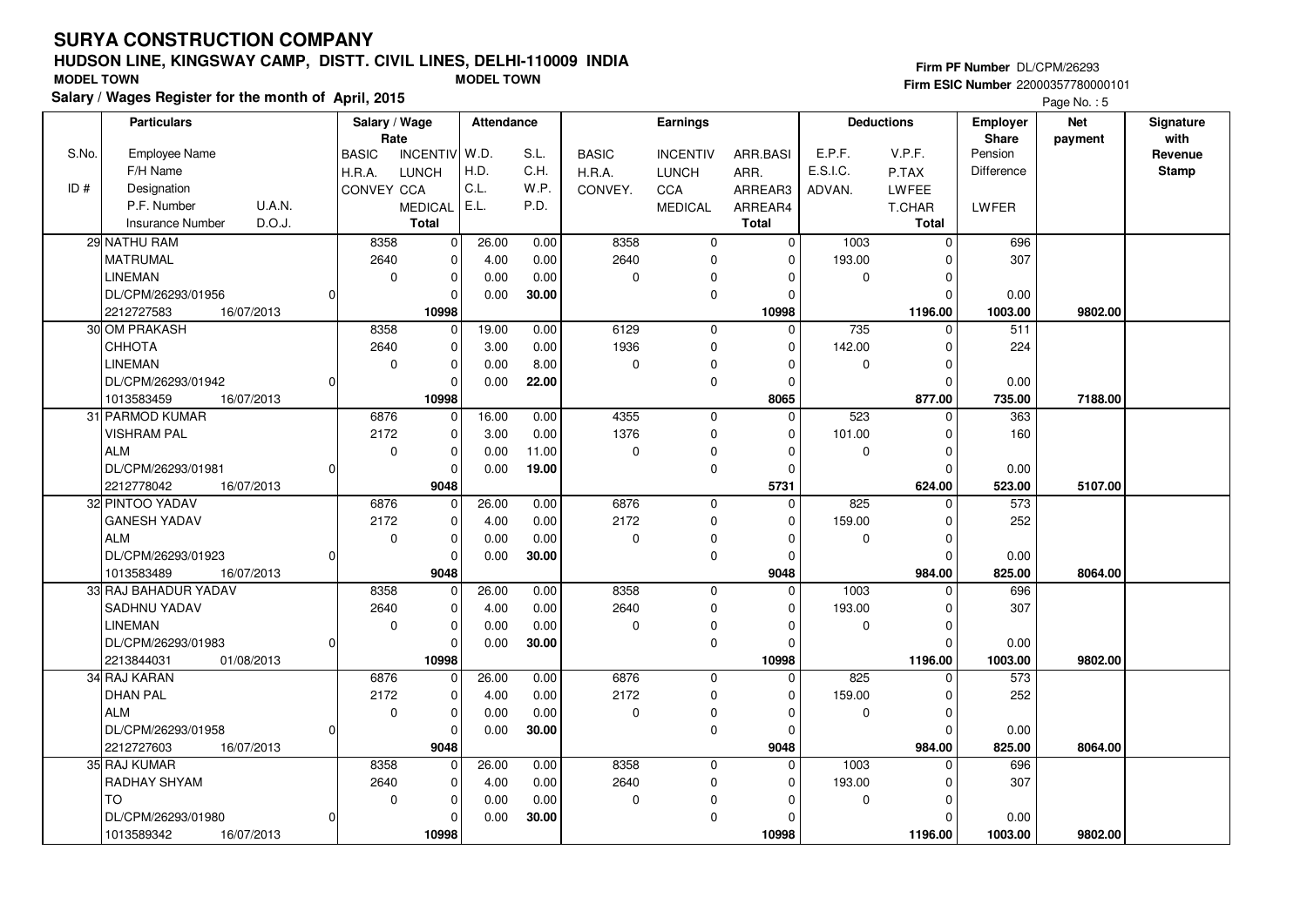## **HUDSON LINE, KINGSWAY CAMP, DISTT. CIVIL LINES, DELHI-110009 INDIASalary / Wages Register for the month of April, 2015 MODEL TOWN MODEL TOWN**

#### **Firm PF Number** DL/CPM/26293

|                                                                                                                                                           |                 |         | Employer<br>Share | <b>Deductions</b> |  | Earnings |  | <b>Attendance</b> | Salary / Wage<br>Rate |  | <b>Particulars</b> |  |
|-----------------------------------------------------------------------------------------------------------------------------------------------------------|-----------------|---------|-------------------|-------------------|--|----------|--|-------------------|-----------------------|--|--------------------|--|
| Pension<br>S.No.<br>Employee Name<br><b>INCENTIV</b><br>  W.D.<br>S.L.<br>E.P.F.<br>V.P.F.<br><b>BASIC</b><br><b>BASIC</b><br><b>INCENTIV</b><br>ARR.BASI | with<br>Revenue | payment |                   |                   |  |          |  |                   |                       |  |                    |  |
| F/H Name<br>H.D.<br>E.S.I.C.<br><b>LUNCH</b><br>C.H.<br>H.R.A.<br>ARR.<br>P.TAX<br><b>Difference</b><br>H.R.A.<br><b>LUNCH</b>                            | <b>Stamp</b>    |         |                   |                   |  |          |  |                   |                       |  |                    |  |
| C.L.<br>W.P.<br>ID#<br>Designation<br>CONVEY CCA<br>CCA<br>LWFEE<br>CONVEY.<br>ARREAR3<br>ADVAN.                                                          |                 |         |                   |                   |  |          |  |                   |                       |  |                    |  |
| U.A.N.<br>MEDICAL E.L.<br>P.F. Number<br>P.D.<br><b>MEDICAL</b><br>ARREAR4<br>T.CHAR<br>LWFER                                                             |                 |         |                   |                   |  |          |  |                   |                       |  |                    |  |
| D.O.J.<br><b>Insurance Number</b><br><b>Total</b><br><b>Total</b><br>Total                                                                                |                 |         |                   |                   |  |          |  |                   |                       |  |                    |  |
| 8358<br>8358<br>29 NATHU RAM<br>26.00<br>0.00<br>$\mathbf 0$<br>1003<br>$\mathbf 0$<br>$\mathbf 0$                                                        |                 |         | 696               |                   |  |          |  |                   |                       |  |                    |  |
| $\pmb{0}$                                                                                                                                                 |                 |         |                   |                   |  |          |  |                   |                       |  |                    |  |
| $\pmb{0}$<br>2640<br>2640<br><b>MATRUMAL</b><br>4.00<br>0.00<br>$\mathbf 0$<br>$\mathbf 0$<br>193.00<br>$\Omega$                                          |                 |         | 307               |                   |  |          |  |                   |                       |  |                    |  |
| $\pmb{0}$<br><b>LINEMAN</b><br>$\mathbf 0$<br>0.00<br>0.00<br>0<br>0<br>$\mathbf 0$<br>0<br>$\mathbf 0$                                                   |                 |         |                   |                   |  |          |  |                   |                       |  |                    |  |
| DL/CPM/26293/01956<br>30.00<br>$\mathbf 0$<br>$\Omega$<br>0.00<br>$\Omega$<br>$\Omega$                                                                    |                 |         | 0.00              |                   |  |          |  |                   |                       |  |                    |  |
| 2212727583<br>10998<br>16/07/2013<br>10998<br>1196.00                                                                                                     | 9802.00         |         | 1003.00           |                   |  |          |  |                   |                       |  |                    |  |
| 30 OM PRAKASH<br>8358<br>19.00<br>0.00<br>6129<br>$\Omega$<br>735<br>511<br>$\Omega$<br>$\mathbf 0$<br>$\Omega$                                           |                 |         |                   |                   |  |          |  |                   |                       |  |                    |  |
| 1936<br>CHHOTA<br>2640<br>$\pmb{0}$<br>3.00<br>0.00<br>$\mathbf 0$<br>142.00<br>$\Omega$<br>$\Omega$                                                      |                 |         | 224               |                   |  |          |  |                   |                       |  |                    |  |
| <b>LINEMAN</b><br>$\mathbf 0$<br>$\mathbf 0$<br>0.00<br>8.00<br>0<br>$\Omega$<br>$\mathbf 0$<br>$\Omega$<br>$\Omega$                                      |                 |         |                   |                   |  |          |  |                   |                       |  |                    |  |
| DL/CPM/26293/01942<br>$\Omega$<br>22.00<br>$\mathbf 0$<br>0.00<br>$\mathbf 0$<br>$\Omega$                                                                 |                 |         | 0.00              |                   |  |          |  |                   |                       |  |                    |  |
| 10998<br>8065<br>1013583459<br>16/07/2013<br>877.00                                                                                                       | 7188.00         |         | 735.00            |                   |  |          |  |                   |                       |  |                    |  |
| 4355<br>523<br>31 PARMOD KUMAR<br>6876<br>16.00<br>0.00<br>$\mathbf 0$<br>$\Omega$<br>$\Omega$<br>0                                                       |                 |         | 363               |                   |  |          |  |                   |                       |  |                    |  |
| 1376<br><b>VISHRAM PAL</b><br>2172<br>$\mathbf 0$<br>3.00<br>0.00<br>$\mathbf 0$<br>101.00<br>$\mathbf 0$<br>$\Omega$                                     |                 |         | 160               |                   |  |          |  |                   |                       |  |                    |  |
| <b>ALM</b><br>$\pmb{0}$<br>$\Omega$<br>$\mathbf 0$<br>0.00<br>11.00<br>0<br>$\mathbf 0$<br>$\Omega$<br>$\Omega$                                           |                 |         |                   |                   |  |          |  |                   |                       |  |                    |  |
| $\mathbf 0$<br>DL/CPM/26293/01981<br>19.00<br>$\pmb{0}$<br>$\Omega$<br>0.00<br>$\Omega$                                                                   |                 |         | 0.00              |                   |  |          |  |                   |                       |  |                    |  |
| 9048<br>5731<br>16/07/2013<br>624.00<br>2212778042                                                                                                        | 5107.00         |         | 523.00            |                   |  |          |  |                   |                       |  |                    |  |
| 6876<br>825<br>32 PINTOO YADAV<br>6876<br>26.00<br>0.00<br>$\mathbf 0$<br>$\mathbf 0$<br>$\Omega$<br>$\mathbf 0$                                          |                 |         | 573               |                   |  |          |  |                   |                       |  |                    |  |
| <b>GANESH YADAV</b><br>$\mathbf 0$<br>2172<br>2172<br>4.00<br>0.00<br>$\pmb{0}$<br>159.00<br>$\Omega$<br>$\Omega$                                         |                 |         | 252               |                   |  |          |  |                   |                       |  |                    |  |
| <b>ALM</b><br>$\mathbf 0$<br>$\Omega$<br>0<br>0.00<br>0.00<br>$\pmb{0}$<br>$\Omega$<br>$\mathbf 0$<br>$\Omega$                                            |                 |         |                   |                   |  |          |  |                   |                       |  |                    |  |
| $\mathbf 0$<br>30.00<br>$\mathbf 0$<br>DL/CPM/26293/01923<br>0.00<br>$\Omega$<br>$\Omega$                                                                 |                 |         | 0.00              |                   |  |          |  |                   |                       |  |                    |  |
| 9048<br>984.00<br>1013583489<br>16/07/2013<br>9048                                                                                                        | 8064.00         |         | 825.00            |                   |  |          |  |                   |                       |  |                    |  |
| 33 RAJ BAHADUR YADAV<br>8358<br>8358<br>26.00<br>0.00<br>$\Omega$<br>1003<br>$\Omega$<br>$\mathbf 0$<br>$\Omega$                                          |                 |         | 696               |                   |  |          |  |                   |                       |  |                    |  |
| $\mathbf 0$<br>2640<br><b>SADHNU YADAV</b><br>2640<br>4.00<br>$\mathbf 0$<br>193.00<br>0.00<br>$\Omega$<br>$\Omega$                                       |                 |         | 307               |                   |  |          |  |                   |                       |  |                    |  |
| $\mathbf 0$<br><b>LINEMAN</b><br>$\mathbf 0$<br>0.00<br>0.00<br>$\mathbf 0$<br>$\mathbf 0$<br>$\mathbf 0$<br>0<br>0                                       |                 |         |                   |                   |  |          |  |                   |                       |  |                    |  |
| 30.00<br>DL/CPM/26293/01983<br>$\mathbf 0$<br>0.00<br>$\mathbf 0$<br>$\Omega$<br>0                                                                        |                 |         | 0.00              |                   |  |          |  |                   |                       |  |                    |  |
| 10998<br>2213844031<br>01/08/2013<br>10998<br>1196.00                                                                                                     | 9802.00         |         | 1003.00           |                   |  |          |  |                   |                       |  |                    |  |
| 34 RAJ KARAN<br>6876<br>0<br>26.00<br>0.00<br>6876<br>$\mathbf 0$<br>$\Omega$<br>825<br>$\Omega$                                                          |                 |         | 573               |                   |  |          |  |                   |                       |  |                    |  |
| 2172<br><b>DHAN PAL</b><br>2172<br>$\mathbf 0$<br>159.00<br>4.00<br>0.00<br>$\mathbf 0$<br>$\Omega$<br>$\Omega$                                           |                 |         | 252               |                   |  |          |  |                   |                       |  |                    |  |
| $\pmb{0}$<br><b>ALM</b><br>$\mathbf 0$<br>0.00<br>0.00<br>0<br>0<br>0<br>0<br>$\mathbf 0$                                                                 |                 |         |                   |                   |  |          |  |                   |                       |  |                    |  |
| $\mathbf 0$<br>DL/CPM/26293/01958<br>0.00<br>30.00<br>$\Omega$<br>$\Omega$<br>$\Omega$<br>$\Omega$                                                        |                 |         | 0.00              |                   |  |          |  |                   |                       |  |                    |  |
| 2212727603<br>16/07/2013<br>9048<br>9048<br>984.00                                                                                                        | 8064.00         |         | 825.00            |                   |  |          |  |                   |                       |  |                    |  |
| 35 RAJ KUMAR<br>8358<br>26.00<br>0.00<br>8358<br>1003<br>$\mathbf 0$<br>$\mathbf 0$<br>$\Omega$<br>$\Omega$                                               |                 |         | 696               |                   |  |          |  |                   |                       |  |                    |  |
| 2640<br>RADHAY SHYAM<br>2640<br>$\mathbf 0$<br>0.00<br>193.00<br>4.00<br>0<br>$\Omega$<br>$\Omega$                                                        |                 |         | 307               |                   |  |          |  |                   |                       |  |                    |  |
| <b>TO</b><br>$\mathbf 0$<br>0.00<br>$\mathbf 0$<br>0.00<br>0<br>$\mathbf 0$<br>$\mathbf 0$<br>$\Omega$<br>$\Omega$                                        |                 |         |                   |                   |  |          |  |                   |                       |  |                    |  |
| $\mathbf 0$<br>DL/CPM/26293/01980<br>$\Omega$<br>30.00<br>0.00<br>$\Omega$<br>$\Omega$                                                                    |                 |         | 0.00              |                   |  |          |  |                   |                       |  |                    |  |
| 10998<br>10998<br>1196.00<br>1013589342<br>16/07/2013                                                                                                     | 9802.00         |         | 1003.00           |                   |  |          |  |                   |                       |  |                    |  |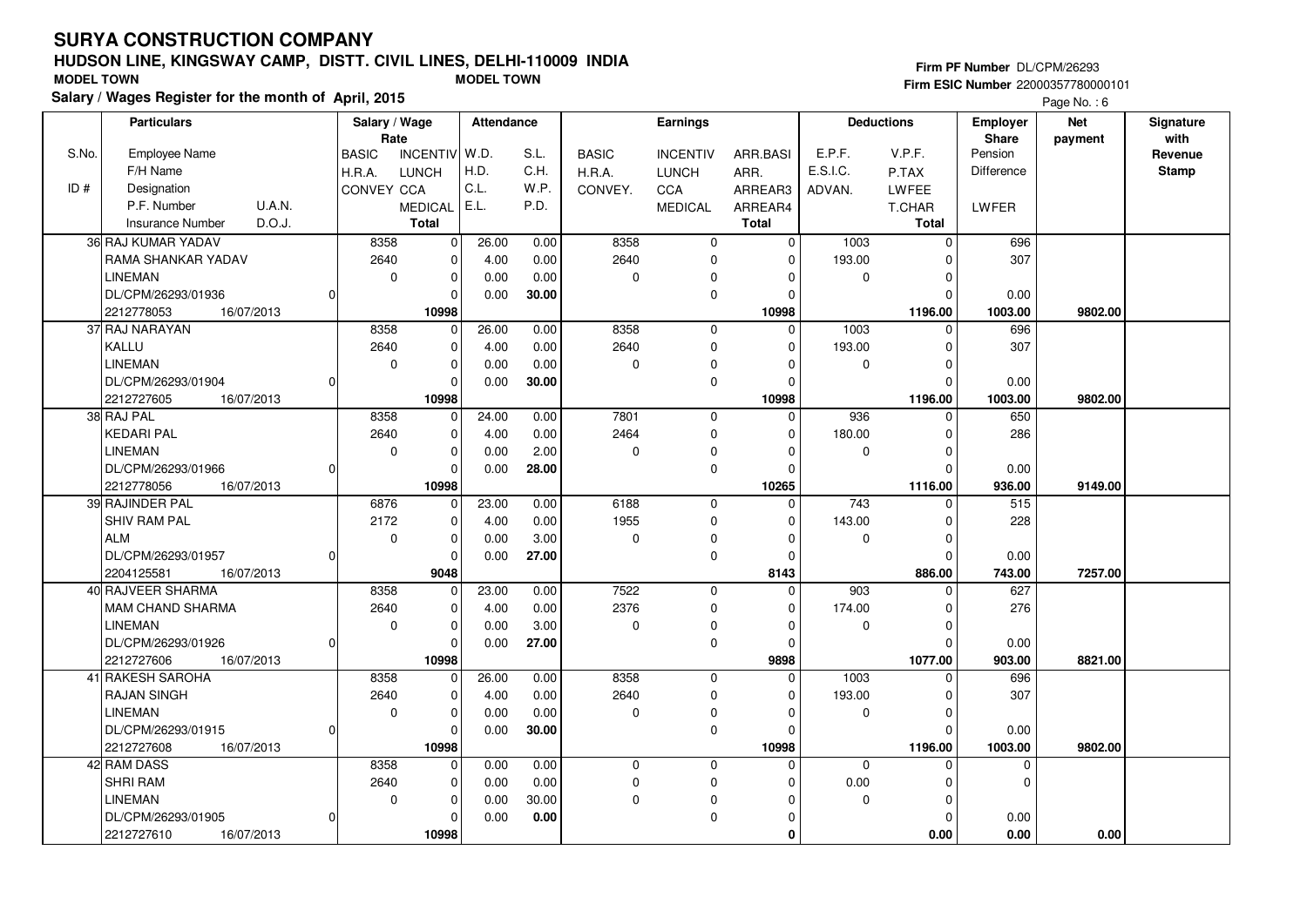## **HUDSON LINE, KINGSWAY CAMP, DISTT. CIVIL LINES, DELHI-110009 INDIASalary / Wages Register for the month of April, 2015 MODEL TOWN MODEL TOWN**

#### **Firm PF Number** DL/CPM/26293 **Firm ESIC Number** 22000357780000101

|       | <b>Particulars</b>         | Salary / Wage<br>Rate |                 | <b>Attendance</b> |       |              | <b>Earnings</b> |              |                  | <b>Deductions</b> | <b>Employer</b><br>Share | <b>Net</b><br>payment | Signature<br>with |
|-------|----------------------------|-----------------------|-----------------|-------------------|-------|--------------|-----------------|--------------|------------------|-------------------|--------------------------|-----------------------|-------------------|
| S.No. | <b>Employee Name</b>       | <b>BASIC</b>          | <b>INCENTIV</b> | W.D.              | S.L.  | <b>BASIC</b> | <b>INCENTIV</b> | ARR.BASI     | E.P.F.           | V.P.F.            | Pension                  |                       | Revenue           |
|       | F/H Name                   | H.R.A.                | LUNCH           | H.D.              | C.H.  | H.R.A.       | <b>LUNCH</b>    | ARR.         | E.S.I.C.         | P.TAX             | <b>Difference</b>        |                       | <b>Stamp</b>      |
| ID#   | Designation                | CONVEY CCA            |                 | C.L.              | W.P.  | CONVEY.      | CCA             | ARREAR3      | ADVAN.           | LWFEE             |                          |                       |                   |
|       | P.F. Number<br>U.A.N.      |                       | MEDICAL         | E.L.              | P.D.  |              | <b>MEDICAL</b>  | ARREAR4      |                  | T.CHAR            | LWFER                    |                       |                   |
|       | D.O.J.<br>Insurance Number |                       | <b>Total</b>    |                   |       |              |                 | <b>Total</b> |                  | <b>Total</b>      |                          |                       |                   |
|       | 36 RAJ KUMAR YADAV         | 8358                  | 0               | 26.00             | 0.00  | 8358         | $\mathbf 0$     | $\mathbf 0$  | 1003             | $\Omega$          | 696                      |                       |                   |
|       | RAMA SHANKAR YADAV         | 2640                  | 0               | 4.00              | 0.00  | 2640         | $\mathbf 0$     | $\mathbf 0$  | 193.00           | 0                 | 307                      |                       |                   |
|       | <b>LINEMAN</b>             | $\mathbf 0$           | $\mathbf 0$     | 0.00              | 0.00  | 0            | $\mathbf 0$     | 0            | 0                | $\Omega$          |                          |                       |                   |
|       | DL/CPM/26293/01936         |                       | $\Omega$        | 0.00              | 30.00 |              | $\mathbf 0$     | $\mathbf 0$  |                  | $\Omega$          | 0.00                     |                       |                   |
|       | 2212778053<br>16/07/2013   |                       | 10998           |                   |       |              |                 | 10998        |                  | 1196.00           | 1003.00                  | 9802.00               |                   |
|       | 37 RAJ NARAYAN             | 8358                  | $\Omega$        | 26.00             | 0.00  | 8358         | $\mathbf 0$     | $\Omega$     | $\frac{1003}{2}$ | $\Omega$          | 696                      |                       |                   |
|       | KALLU                      | 2640                  | $\mathbf 0$     | 4.00              | 0.00  | 2640         | $\mathbf 0$     | $\Omega$     | 193.00           | $\Omega$          | 307                      |                       |                   |
|       | <b>LINEMAN</b>             | 0                     | $\mathbf 0$     | 0.00              | 0.00  | 0            | $\Omega$        | $\Omega$     | 0                | $\Omega$          |                          |                       |                   |
|       | DL/CPM/26293/01904         |                       | $\Omega$        | 0.00              | 30.00 |              | $\mathbf 0$     | $\Omega$     |                  | $\mathbf 0$       | 0.00                     |                       |                   |
|       | 2212727605<br>16/07/2013   |                       | 10998           |                   |       |              |                 | 10998        |                  | 1196.00           | 1003.00                  | 9802.00               |                   |
|       | 38 RAJ PAL                 | 8358                  | $\Omega$        | 24.00             | 0.00  | 7801         | $\mathbf 0$     | $\Omega$     | 936              | $\Omega$          | 650                      |                       |                   |
|       | <b>KEDARI PAL</b>          | 2640                  | $\mathbf 0$     | 4.00              | 0.00  | 2464         | $\mathbf 0$     | 0            | 180.00           | $\Omega$          | 286                      |                       |                   |
|       | <b>LINEMAN</b>             | 0                     | $\pmb{0}$       | 0.00              | 2.00  | 0            | 0               | $\Omega$     | 0                | $\Omega$          |                          |                       |                   |
|       | DL/CPM/26293/01966         |                       | $\Omega$        | 0.00              | 28.00 |              | $\mathbf 0$     | $\Omega$     |                  | $\Omega$          | 0.00                     |                       |                   |
|       | 2212778056<br>16/07/2013   |                       | 10998           |                   |       |              |                 | 10265        |                  | 1116.00           | 936.00                   | 9149.00               |                   |
|       | 39 RAJINDER PAL            | 6876                  | $\Omega$        | 23.00             | 0.00  | 6188         | $\mathsf 0$     | $\Omega$     | 743              | 0                 | 515                      |                       |                   |
|       | SHIV RAM PAL               | 2172                  | $\Omega$        | 4.00              | 0.00  | 1955         | $\mathbf 0$     | $\Omega$     | 143.00           | $\Omega$          | 228                      |                       |                   |
|       | <b>ALM</b>                 | 0                     | $\mathbf 0$     | 0.00              | 3.00  | 0            | $\pmb{0}$       | $\Omega$     | 0                | $\Omega$          |                          |                       |                   |
|       | DL/CPM/26293/01957         |                       | $\mathbf 0$     | 0.00              | 27.00 |              | $\mathbf 0$     | 0            |                  | $\Omega$          | 0.00                     |                       |                   |
|       | 2204125581<br>16/07/2013   |                       | 9048            |                   |       |              |                 | 8143         |                  | 886.00            | 743.00                   | 7257.00               |                   |
|       | 40 RAJVEER SHARMA          | 8358                  | $\mathbf 0$     | 23.00             | 0.00  | 7522         | $\mathbf 0$     | $\mathbf 0$  | 903              | $\Omega$          | 627                      |                       |                   |
|       | <b>MAM CHAND SHARMA</b>    | 2640                  | $\mathbf 0$     | 4.00              | 0.00  | 2376         | $\mathbf 0$     | 0            | 174.00           | $\Omega$          | 276                      |                       |                   |
|       | <b>LINEMAN</b>             | $\mathbf 0$           | $\mathbf 0$     | 0.00              | 3.00  | 0            | $\mathbf 0$     | $\Omega$     | 0                | $\Omega$          |                          |                       |                   |
|       | DL/CPM/26293/01926         |                       | $\mathbf 0$     | 0.00              | 27.00 |              | $\mathbf 0$     | $\mathbf 0$  |                  | $\Omega$          | 0.00                     |                       |                   |
|       | 2212727606<br>16/07/2013   |                       | 10998           |                   |       |              |                 | 9898         |                  | 1077.00           | 903.00                   | 8821.00               |                   |
|       | 41 RAKESH SAROHA           | 8358                  | 0               | 26.00             | 0.00  | 8358         | $\mathbf 0$     | $\Omega$     | 1003             | $\Omega$          | 696                      |                       |                   |
|       | <b>RAJAN SINGH</b>         | 2640                  | $\mathbf 0$     | 4.00              | 0.00  | 2640         | $\mathbf 0$     | $\Omega$     | 193.00           | $\Omega$          | 307                      |                       |                   |
|       | LINEMAN                    | $\mathbf 0$           | $\mathbf 0$     | 0.00              | 0.00  | 0            | $\mathbf 0$     | 0            | 0                | $\Omega$          |                          |                       |                   |
|       | DL/CPM/26293/01915         | ŋ                     | $\Omega$        | 0.00              | 30.00 |              | $\pmb{0}$       | $\Omega$     |                  | $\Omega$          | 0.00                     |                       |                   |
|       | 2212727608<br>16/07/2013   |                       | 10998           |                   |       |              |                 | 10998        |                  | 1196.00           | 1003.00                  | 9802.00               |                   |
|       | 42 RAM DASS                | 8358                  | $\mathbf 0$     | 0.00              | 0.00  | 0            | $\mathbf{0}$    | $\Omega$     | 0                | $\Omega$          | 0                        |                       |                   |
|       | <b>SHRI RAM</b>            | 2640                  | $\mathbf 0$     | 0.00              | 0.00  | 0            | $\mathbf 0$     | $\Omega$     | 0.00             | 0                 | $\mathbf 0$              |                       |                   |
|       | <b>LINEMAN</b>             | $\mathbf 0$           | $\mathbf 0$     | 0.00              | 30.00 | 0            | $\mathbf 0$     | $\Omega$     | 0                | $\Omega$          |                          |                       |                   |
|       | DL/CPM/26293/01905         |                       | $\Omega$        | 0.00              | 0.00  |              | $\mathbf 0$     | $\Omega$     |                  | $\Omega$          | 0.00                     |                       |                   |
|       | 2212727610<br>16/07/2013   |                       | 10998           |                   |       |              |                 | 0            |                  | 0.00              | 0.00                     | 0.00                  |                   |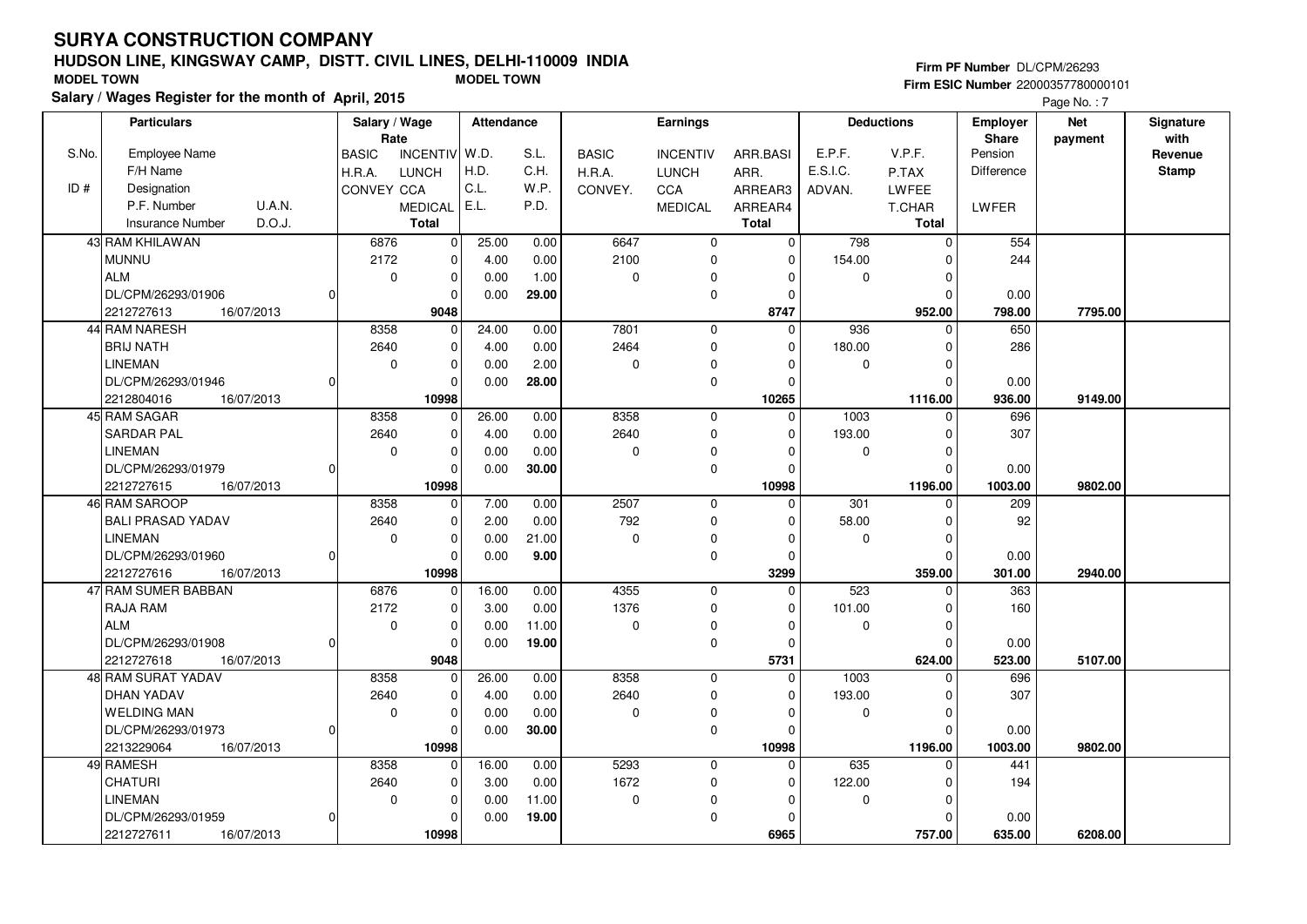## **HUDSON LINE, KINGSWAY CAMP, DISTT. CIVIL LINES, DELHI-110009 INDIASalary / Wages Register for the month of April, 2015 MODEL TOWN MODEL TOWN**

#### **Firm PF Number** DL/CPM/26293 **Firm ESIC Number** 22000357780000101

|       | <b>Particulars</b>                |    | Salary / Wage<br>Rate |                 | Attendance |       |              | <b>Earnings</b> |              |             | <b>Deductions</b> | <b>Employer</b><br><b>Share</b> | <b>Net</b> | Signature<br>with |
|-------|-----------------------------------|----|-----------------------|-----------------|------------|-------|--------------|-----------------|--------------|-------------|-------------------|---------------------------------|------------|-------------------|
| S.No. | <b>Employee Name</b>              |    | <b>BASIC</b>          | <b>INCENTIV</b> | W.D.       | S.L.  | <b>BASIC</b> | <b>INCENTIV</b> | ARR.BASI     | E.P.F.      | V.P.F.            | Pension                         | payment    | Revenue           |
|       | F/H Name                          |    | H.R.A.                | <b>LUNCH</b>    | H.D.       | C.H.  | H.R.A.       | <b>LUNCH</b>    | ARR.         | E.S.I.C.    | P.TAX             | Difference                      |            | <b>Stamp</b>      |
| ID#   | Designation                       |    | CONVEY CCA            |                 | C.L.       | W.P.  | CONVEY.      | CCA             | ARREAR3      | ADVAN.      | <b>LWFEE</b>      |                                 |            |                   |
|       | U.A.N.<br>P.F. Number             |    |                       | <b>MEDICAL</b>  | E.L.       | P.D.  |              | <b>MEDICAL</b>  | ARREAR4      |             | T.CHAR            | LWFER                           |            |                   |
|       | D.O.J.<br><b>Insurance Number</b> |    |                       | Total           |            |       |              |                 | <b>Total</b> |             | Total             |                                 |            |                   |
|       | 43 RAM KHILAWAN                   |    | 6876                  | $\mathbf 0$     | 25.00      | 0.00  | 6647         | 0               | 0            | 798         | $\Omega$          | 554                             |            |                   |
|       | <b>MUNNU</b>                      |    | 2172                  | $\mathbf 0$     | 4.00       | 0.00  | 2100         | 0               | $\Omega$     | 154.00      | $\Omega$          | 244                             |            |                   |
|       | <b>ALM</b>                        |    | $\mathbf 0$           | $\mathbf 0$     | 0.00       | 1.00  | $\mathbf 0$  | 0               | $\Omega$     | 0           | $\Omega$          |                                 |            |                   |
|       | DL/CPM/26293/01906                | 0  |                       | $\Omega$        | 0.00       | 29.00 |              | 0               | $\Omega$     |             | $\Omega$          | 0.00                            |            |                   |
|       | 2212727613<br>16/07/2013          |    |                       | 9048            |            |       |              |                 | 8747         |             | 952.00            | 798.00                          | 7795.00    |                   |
|       | 44 RAM NARESH                     |    | 8358                  | $\mathbf 0$     | 24.00      | 0.00  | 7801         | $\mathbf 0$     | $\Omega$     | 936         | $\Omega$          | 650                             |            |                   |
|       | <b>BRIJ NATH</b>                  |    | 2640                  | $\mathbf 0$     | 4.00       | 0.00  | 2464         | 0               | $\Omega$     | 180.00      | $\Omega$          | 286                             |            |                   |
|       | <b>LINEMAN</b>                    |    | $\Omega$              | $\mathbf 0$     | 0.00       | 2.00  | $\mathbf 0$  | 0               | $\Omega$     | 0           | $\Omega$          |                                 |            |                   |
|       | DL/CPM/26293/01946                | 01 |                       | $\Omega$        | 0.00       | 28.00 |              | 0               | $\Omega$     |             | $\Omega$          | 0.00                            |            |                   |
|       | 16/07/2013<br>2212804016          |    |                       | 10998           |            |       |              |                 | 10265        |             | 1116.00           | 936.00                          | 9149.00    |                   |
|       | 45 RAM SAGAR                      |    | 8358                  | $\mathbf 0$     | 26.00      | 0.00  | 8358         | $\mathbf 0$     | $\mathbf 0$  | 1003        | $\Omega$          | 696                             |            |                   |
|       | <b>SARDAR PAL</b>                 |    | 2640                  | 0               | 4.00       | 0.00  | 2640         | 0               | $\Omega$     | 193.00      | $\Omega$          | 307                             |            |                   |
|       | <b>LINEMAN</b>                    |    | $\mathbf 0$           | $\Omega$        | 0.00       | 0.00  | $\Omega$     | 0               | $\Omega$     | $\mathbf 0$ | $\Omega$          |                                 |            |                   |
|       | DL/CPM/26293/01979                | 01 |                       | $\Omega$        | 0.00       | 30.00 |              | $\mathbf 0$     | $\Omega$     |             | $\Omega$          | 0.00                            |            |                   |
|       | 2212727615<br>16/07/2013          |    |                       | 10998           |            |       |              |                 | 10998        |             | 1196.00           | 1003.00                         | 9802.00    |                   |
|       | 46 RAM SAROOP                     |    | 8358                  | 0               | 7.00       | 0.00  | 2507         | $\mathbf 0$     | $\Omega$     | 301         | $\Omega$          | 209                             |            |                   |
|       | <b>BALI PRASAD YADAV</b>          |    | 2640                  | $\mathbf 0$     | 2.00       | 0.00  | 792          | $\mathbf 0$     | $\Omega$     | 58.00       | $\Omega$          | 92                              |            |                   |
|       | <b>LINEMAN</b>                    |    | $\mathbf 0$           | $\mathbf 0$     | 0.00       | 21.00 | $\mathbf 0$  | 0               | $\Omega$     | 0           | $\Omega$          |                                 |            |                   |
|       | DL/CPM/26293/01960                | 01 |                       | $\Omega$        | 0.00       | 9.00  |              | 0               | $\Omega$     |             | $\Omega$          | 0.00                            |            |                   |
|       | 2212727616<br>16/07/2013          |    |                       | 10998           |            |       |              |                 | 3299         |             | 359.00            | 301.00                          | 2940.00    |                   |
|       | 47 RAM SUMER BABBAN               |    | 6876                  | 0               | 16.00      | 0.00  | 4355         | 0               | $\Omega$     | 523         | ŋ                 | 363                             |            |                   |
|       | <b>RAJA RAM</b>                   |    | 2172                  | $\mathbf 0$     | 3.00       | 0.00  | 1376         | $\mathbf{0}$    | $\Omega$     | 101.00      | $\Omega$          | 160                             |            |                   |
|       | <b>ALM</b>                        |    | $\mathbf 0$           | $\mathbf 0$     | 0.00       | 11.00 | $\mathbf 0$  | 0               | $\Omega$     | 0           | $\mathbf 0$       |                                 |            |                   |
|       | DL/CPM/26293/01908                | 0  |                       | $\Omega$        | 0.00       | 19.00 |              | $\mathbf{0}$    | 0            |             | $\Omega$          | 0.00                            |            |                   |
|       | 2212727618<br>16/07/2013          |    |                       | 9048            |            |       |              |                 | 5731         |             | 624.00            | 523.00                          | 5107.00    |                   |
|       | 48 RAM SURAT YADAV                |    | 8358                  | $\mathbf 0$     | 26.00      | 0.00  | 8358         | $\mathbf{0}$    | $\mathbf 0$  | 1003        | $\Omega$          | 696                             |            |                   |
|       | <b>DHAN YADAV</b>                 |    | 2640                  | $\Omega$        | 4.00       | 0.00  | 2640         | $\mathbf{0}$    | $\Omega$     | 193.00      | $\Omega$          | 307                             |            |                   |
|       | <b>WELDING MAN</b>                |    | $\mathbf 0$           | $\mathbf 0$     | 0.00       | 0.00  | $\mathbf 0$  | 0               | $\Omega$     | 0           | $\mathbf 0$       |                                 |            |                   |
|       | DL/CPM/26293/01973                | 01 |                       | $\mathbf 0$     | 0.00       | 30.00 |              | 0               | $\Omega$     |             | $\Omega$          | 0.00                            |            |                   |
|       | 2213229064<br>16/07/2013          |    |                       | 10998           |            |       |              |                 | 10998        |             | 1196.00           | 1003.00                         | 9802.00    |                   |
|       | 49 RAMESH                         |    | 8358                  | $\Omega$        | 16.00      | 0.00  | 5293         | $\mathbf 0$     | $\mathbf 0$  | 635         | $\Omega$          | 441                             |            |                   |
|       | <b>CHATURI</b>                    |    | 2640                  | $\mathbf 0$     | 3.00       | 0.00  | 1672         | 0               | $\Omega$     | 122.00      | $\Omega$          | 194                             |            |                   |
|       | <b>LINEMAN</b>                    |    | $\mathbf 0$           | $\mathbf 0$     | 0.00       | 11.00 | $\mathbf 0$  | 0               | $\Omega$     | $\mathbf 0$ | $\Omega$          |                                 |            |                   |
|       | DL/CPM/26293/01959                | 01 |                       | $\Omega$        | 0.00       | 19.00 |              | 0               | $\Omega$     |             | $\Omega$          | 0.00                            |            |                   |
|       | 2212727611<br>16/07/2013          |    |                       | 10998           |            |       |              |                 | 6965         |             | 757.00            | 635.00                          | 6208.00    |                   |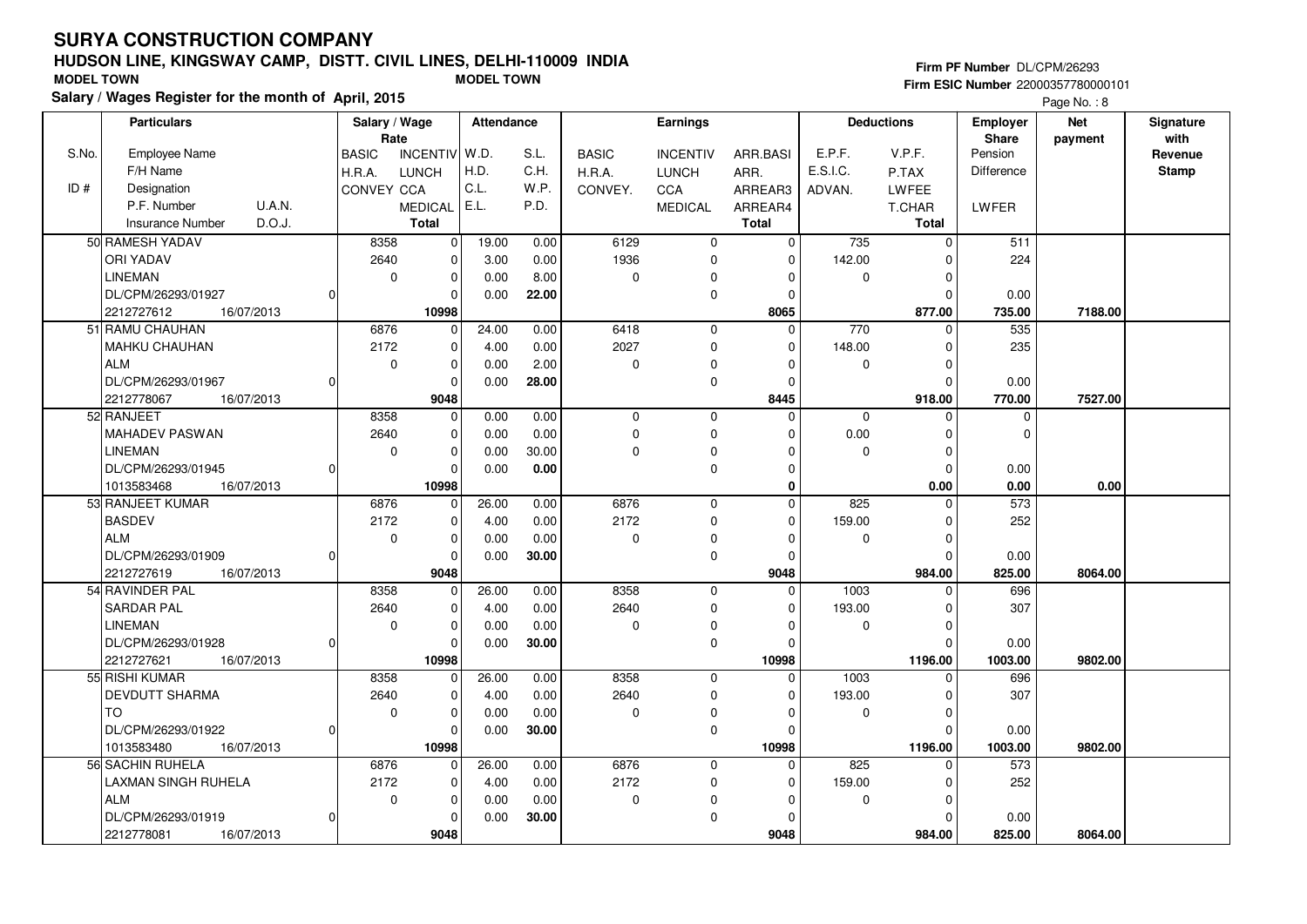## **HUDSON LINE, KINGSWAY CAMP, DISTT. CIVIL LINES, DELHI-110009 INDIASalary / Wages Register for the month of April, 2015 MODEL TOWN MODEL TOWN**

#### **Firm PF Number** DL/CPM/26293 **Firm ESIC Number** 22000357780000101

|       | <b>Particulars</b>                | Salary / Wage<br>Rate |                 | Attendance |       |              | Earnings        |              |          | <b>Deductions</b> | Employer<br>Share | <b>Net</b> | Signature<br>with |
|-------|-----------------------------------|-----------------------|-----------------|------------|-------|--------------|-----------------|--------------|----------|-------------------|-------------------|------------|-------------------|
| S.No. | <b>Employee Name</b>              | <b>BASIC</b>          | <b>INCENTIV</b> | W.D.       | S.L.  | <b>BASIC</b> | <b>INCENTIV</b> | ARR.BASI     | E.P.F.   | V.P.F.            | Pension           | payment    | Revenue           |
|       | F/H Name                          | H.R.A.                | <b>LUNCH</b>    | H.D.       | C.H.  | H.R.A.       | <b>LUNCH</b>    | ARR.         | E.S.I.C. | P.TAX             | Difference        |            | <b>Stamp</b>      |
| ID#   | Designation                       | CONVEY CCA            |                 | C.L.       | W.P.  | CONVEY.      | CCA             | ARREAR3      | ADVAN.   | <b>LWFEE</b>      |                   |            |                   |
|       | P.F. Number<br><b>U.A.N.</b>      |                       | <b>MEDICAL</b>  | E.L.       | P.D.  |              | <b>MEDICAL</b>  | ARREAR4      |          | T.CHAR            | LWFER             |            |                   |
|       | D.O.J.<br><b>Insurance Number</b> |                       | <b>Total</b>    |            |       |              |                 | <b>Total</b> |          | <b>Total</b>      |                   |            |                   |
|       | 50 RAMESH YADAV                   | 8358                  |                 |            |       | 6129         |                 |              | 735      |                   | 511               |            |                   |
|       |                                   |                       | 0               | 19.00      | 0.00  |              | $\mathbf 0$     | $\mathbf 0$  |          | $\Omega$          |                   |            |                   |
|       | <b>ORI YADAV</b>                  | 2640                  | $\Omega$        | 3.00       | 0.00  | 1936         | $\mathbf 0$     | $\Omega$     | 142.00   | $\Omega$          | 224               |            |                   |
|       | <b>LINEMAN</b>                    | $\mathbf 0$           | $\mathbf 0$     | 0.00       | 8.00  | 0            | $\mathbf 0$     | $\mathbf 0$  | 0        | $\Omega$          |                   |            |                   |
|       | DL/CPM/26293/01927                |                       | $\Omega$        | 0.00       | 22.00 |              | $\mathbf 0$     | $\mathbf 0$  |          | $\Omega$          | 0.00              |            |                   |
|       | 2212727612<br>16/07/2013          |                       | 10998           |            |       |              |                 | 8065         |          | 877.00            | 735.00            | 7188.00    |                   |
|       | 51 RAMU CHAUHAN                   | 6876                  | $\Omega$        | 24.00      | 0.00  | 6418         | $\mathbf 0$     | $\Omega$     | 770      | $\Omega$          | 535               |            |                   |
|       | MAHKU CHAUHAN                     | 2172                  | $\mathbf 0$     | 4.00       | 0.00  | 2027         | $\mathbf 0$     | $\Omega$     | 148.00   | $\Omega$          | 235               |            |                   |
|       | <b>ALM</b>                        | 0                     | $\mathbf 0$     | 0.00       | 2.00  | 0            | $\Omega$        | $\Omega$     | 0        | $\Omega$          |                   |            |                   |
|       | DL/CPM/26293/01967                |                       | $\Omega$        | 0.00       | 28.00 |              | $\mathbf 0$     | $\mathbf 0$  |          | $\mathbf 0$       | 0.00              |            |                   |
|       | 2212778067<br>16/07/2013          |                       | 9048            |            |       |              |                 | 8445         |          | 918.00            | 770.00            | 7527.00    |                   |
|       | 52 RANJEET                        | 8358                  | $\mathbf 0$     | 0.00       | 0.00  | $\mathbf 0$  | $\mathbf 0$     | $\Omega$     | $\Omega$ | $\Omega$          | $\mathbf 0$       |            |                   |
|       | MAHADEV PASWAN                    | 2640                  | $\mathbf 0$     | 0.00       | 0.00  | $\pmb{0}$    | $\mathbf 0$     | $\Omega$     | 0.00     | $\Omega$          | $\Omega$          |            |                   |
|       | <b>LINEMAN</b>                    | 0                     | $\mathbf 0$     | 0.00       | 30.00 | 0            | $\mathbf 0$     | $\Omega$     | 0        | $\Omega$          |                   |            |                   |
|       | DL/CPM/26293/01945                |                       | $\Omega$        | 0.00       | 0.00  |              | $\mathbf 0$     | $\Omega$     |          | $\Omega$          | 0.00              |            |                   |
|       | 16/07/2013<br>1013583468          |                       | 10998           |            |       |              |                 | $\mathbf{0}$ |          | 0.00              | 0.00              | 0.00       |                   |
|       | 53 RANJEET KUMAR                  | 6876                  | $\Omega$        | 26.00      | 0.00  | 6876         | $\mathbf 0$     | $\Omega$     | 825      | $\Omega$          | 573               |            |                   |
|       | <b>BASDEV</b>                     | 2172                  | $\mathbf 0$     | 4.00       | 0.00  | 2172         | $\mathbf 0$     | $\Omega$     | 159.00   | $\Omega$          | 252               |            |                   |
|       | <b>ALM</b>                        | 0                     | $\mathbf 0$     | 0.00       | 0.00  | 0            | 0               | $\mathbf 0$  | 0        | $\Omega$          |                   |            |                   |
|       | DL/CPM/26293/01909                |                       | $\mathbf 0$     | 0.00       | 30.00 |              | $\mathbf 0$     | $\Omega$     |          | $\Omega$          | 0.00              |            |                   |
|       | 2212727619<br>16/07/2013          |                       | 9048            |            |       |              |                 | 9048         |          | 984.00            | 825.00            | 8064.00    |                   |
|       | 54 RAVINDER PAL                   | 8358                  | 0               | 26.00      | 0.00  | 8358         | $\mathbf 0$     | $\mathbf 0$  | 1003     | $\Omega$          | 696               |            |                   |
|       | <b>SARDAR PAL</b>                 | 2640                  | $\mathbf 0$     | 4.00       | 0.00  | 2640         | $\mathbf 0$     | $\mathbf 0$  | 193.00   | $\Omega$          | 307               |            |                   |
|       | <b>LINEMAN</b>                    | 0                     | $\mathbf 0$     | 0.00       | 0.00  | $\mathbf 0$  | $\mathbf 0$     | $\Omega$     | 0        | $\Omega$          |                   |            |                   |
|       | DL/CPM/26293/01928                | O                     | $\Omega$        | 0.00       | 30.00 |              | $\mathbf 0$     | $\Omega$     |          | $\Omega$          | 0.00              |            |                   |
|       | 2212727621<br>16/07/2013          |                       | 10998           |            |       |              |                 | 10998        |          | 1196.00           | 1003.00           | 9802.00    |                   |
|       | 55 RISHI KUMAR                    | 8358                  | $\mathbf 0$     | 26.00      | 0.00  | 8358         | $\mathbf{0}$    | $\mathbf 0$  | 1003     | $\Omega$          | 696               |            |                   |
|       | DEVDUTT SHARMA                    | 2640                  | $\Omega$        | 4.00       | 0.00  | 2640         | $\mathbf 0$     | $\Omega$     | 193.00   | $\Omega$          | 307               |            |                   |
|       | <b>TO</b>                         | $\mathbf 0$           | $\mathbf 0$     | 0.00       | 0.00  | 0            | $\mathbf 0$     | $\mathbf 0$  | 0        | $\Omega$          |                   |            |                   |
|       | DL/CPM/26293/01922                |                       | $\Omega$        | 0.00       | 30.00 |              | $\mathbf 0$     | $\mathbf 0$  |          | $\Omega$          | 0.00              |            |                   |
|       | 1013583480<br>16/07/2013          |                       | 10998           |            |       |              |                 | 10998        |          | 1196.00           | 1003.00           | 9802.00    |                   |
|       | 56 SACHIN RUHELA                  | 6876                  | $\Omega$        | 26.00      | 0.00  | 6876         | $\mathbf 0$     | $\Omega$     | 825      | $\Omega$          | $\overline{573}$  |            |                   |
|       | LAXMAN SINGH RUHELA               | 2172                  | $\mathbf 0$     | 4.00       | 0.00  | 2172         | $\mathbf 0$     | $\Omega$     | 159.00   | $\Omega$          | 252               |            |                   |
|       | <b>ALM</b>                        | 0                     | $\mathbf 0$     | 0.00       | 0.00  | 0            | $\mathbf 0$     | $\Omega$     | 0        | $\Omega$          |                   |            |                   |
|       | DL/CPM/26293/01919                |                       | $\Omega$        | 0.00       | 30.00 |              | $\mathbf 0$     | $\Omega$     |          | $\Omega$          | 0.00              |            |                   |
|       | 2212778081<br>16/07/2013          |                       | 9048            |            |       |              |                 | 9048         |          | 984.00            | 825.00            | 8064.00    |                   |
|       |                                   |                       |                 |            |       |              |                 |              |          |                   |                   |            |                   |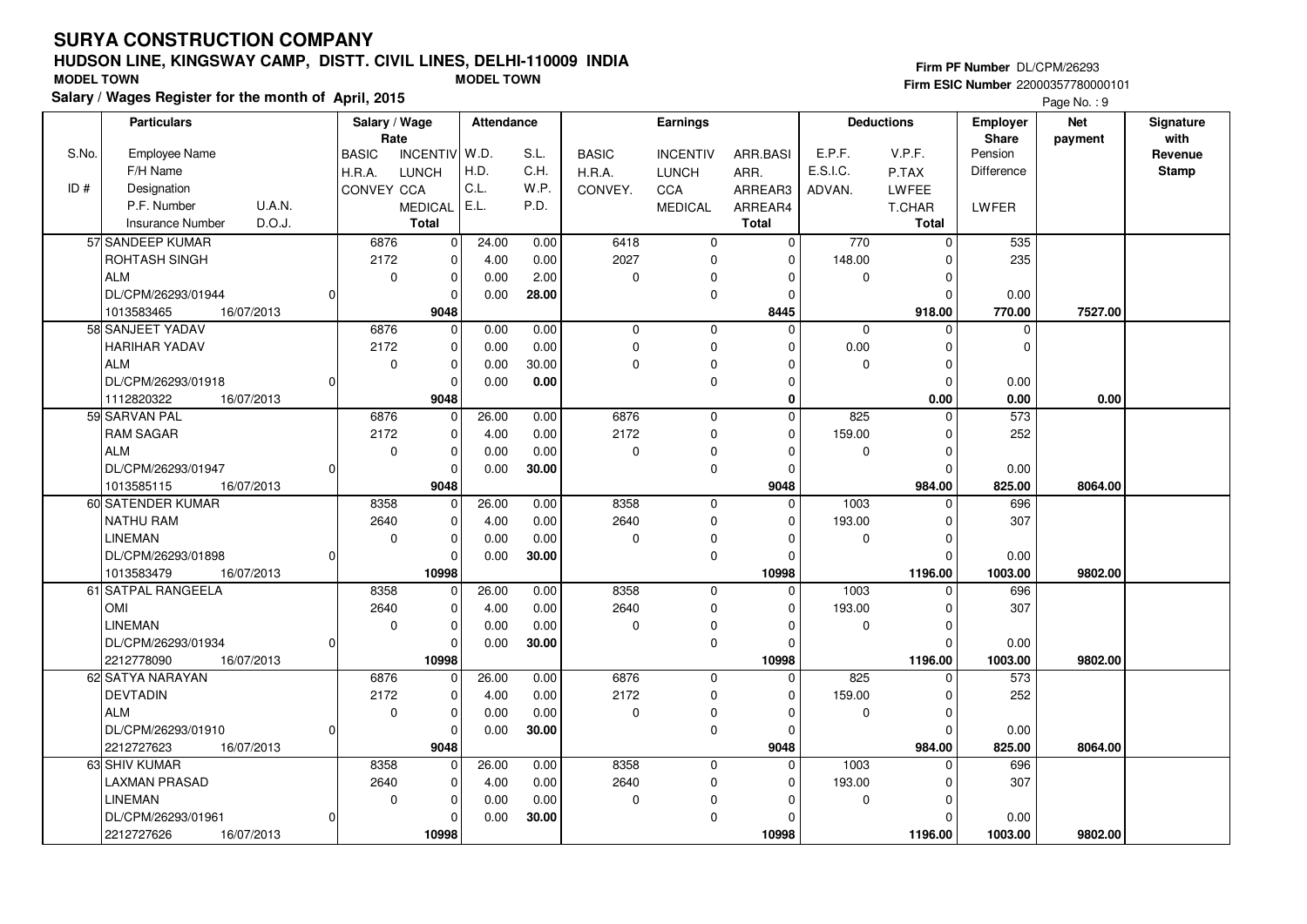## **HUDSON LINE, KINGSWAY CAMP, DISTT. CIVIL LINES, DELHI-110009 INDIASalary / Wages Register for the month of April, 2015 MODEL TOWN MODEL TOWN**

#### **Firm PF Number** DL/CPM/26293

|       | <b>Particulars</b>                |          | Salary / Wage |                 | Attendance |       |              | Earnings        |              |             | <b>Deductions</b> | <b>Employer</b>   | <b>Net</b> | Signature    |
|-------|-----------------------------------|----------|---------------|-----------------|------------|-------|--------------|-----------------|--------------|-------------|-------------------|-------------------|------------|--------------|
|       |                                   |          | Rate          |                 |            |       |              |                 |              |             |                   | <b>Share</b>      | payment    | with         |
| S.No. | Employee Name                     |          | <b>BASIC</b>  | <b>INCENTIV</b> | W.D.       | S.L.  | <b>BASIC</b> | <b>INCENTIV</b> | ARR.BASI     | E.P.F.      | V.P.F.            | Pension           |            | Revenue      |
|       | F/H Name                          |          | H.R.A.        | <b>LUNCH</b>    | H.D.       | C.H.  | H.R.A.       | <b>LUNCH</b>    | ARR.         | E.S.I.C.    | P.TAX             | <b>Difference</b> |            | <b>Stamp</b> |
| ID#   | Designation                       |          | CONVEY CCA    |                 | C.L.       | W.P.  | CONVEY.      | <b>CCA</b>      | ARREAR3      | ADVAN.      | <b>LWFEE</b>      |                   |            |              |
|       | U.A.N.<br>P.F. Number             |          |               | <b>MEDICAL</b>  | E.L.       | P.D.  |              | <b>MEDICAL</b>  | ARREAR4      |             | T.CHAR            | LWFER             |            |              |
|       | D.O.J.<br><b>Insurance Number</b> |          |               | <b>Total</b>    |            |       |              |                 | <b>Total</b> |             | <b>Total</b>      |                   |            |              |
|       | 57 SANDEEP KUMAR                  |          | 6876          | $\mathbf 0$     | 24.00      | 0.00  | 6418         | $\mathbf 0$     | $\Omega$     | 770         | $\mathbf 0$       | 535               |            |              |
|       | ROHTASH SINGH                     |          | 2172          | 0               | 4.00       | 0.00  | 2027         | $\mathbf 0$     | $\mathbf 0$  | 148.00      | $\Omega$          | 235               |            |              |
|       | <b>ALM</b>                        |          | $\mathbf 0$   | $\mathbf 0$     | 0.00       | 2.00  | $\mathbf 0$  | $\mathbf 0$     | $\Omega$     | $\mathbf 0$ | $\Omega$          |                   |            |              |
|       | DL/CPM/26293/01944                | $\Omega$ |               | 0               | 0.00       | 28.00 |              | $\mathbf 0$     | $\Omega$     |             | $\Omega$          | 0.00              |            |              |
|       | 1013583465<br>16/07/2013          |          |               | 9048            |            |       |              |                 | 8445         |             | 918.00            | 770.00            | 7527.00    |              |
|       | 58 SANJEET YADAV                  |          | 6876          | $\overline{0}$  | 0.00       | 0.00  | $\mathbf 0$  | $\mathbf 0$     | $\Omega$     | $\Omega$    | $\Omega$          | $\mathbf 0$       |            |              |
|       | HARIHAR YADAV                     |          | 2172          | $\mathbf 0$     | 0.00       | 0.00  | $\Omega$     | $\mathbf 0$     | $\Omega$     | 0.00        | $\Omega$          | $\Omega$          |            |              |
|       | <b>ALM</b>                        |          | $\mathbf 0$   | 0               | 0.00       | 30.00 | 0            | $\Omega$        | $\Omega$     | 0           | $\mathbf 0$       |                   |            |              |
|       | DL/CPM/26293/01918                | $\Omega$ |               | $\mathbf 0$     | 0.00       | 0.00  |              | $\mathbf 0$     | $\Omega$     |             | $\Omega$          | 0.00              |            |              |
|       | 16/07/2013<br>1112820322          |          |               | 9048            |            |       |              |                 | $\bf{0}$     |             | 0.00              | 0.00              | 0.00       |              |
|       | 59 SARVAN PAL                     |          | 6876          | $\mathbf 0$     | 26.00      | 0.00  | 6876         | $\mathbf 0$     | $\mathbf{0}$ | 825         | $\Omega$          | 573               |            |              |
|       | <b>RAM SAGAR</b>                  |          | 2172          | $\mathbf 0$     | 4.00       | 0.00  | 2172         | $\mathbf 0$     | $\Omega$     | 159.00      | $\Omega$          | 252               |            |              |
|       | <b>ALM</b>                        |          | $\mathbf 0$   | 0               | 0.00       | 0.00  | $\mathbf 0$  | $\mathbf 0$     | $\Omega$     | $\mathbf 0$ | $\Omega$          |                   |            |              |
|       | DL/CPM/26293/01947                | O        |               | 0               | 0.00       | 30.00 |              | $\mathbf 0$     | $\Omega$     |             | $\Omega$          | 0.00              |            |              |
|       | 1013585115<br>16/07/2013          |          |               | 9048            |            |       |              |                 | 9048         |             | 984.00            | 825.00            | 8064.00    |              |
|       | 60 SATENDER KUMAR                 |          | 8358          | $\overline{0}$  | 26.00      | 0.00  | 8358         | $\mathbf 0$     | $\Omega$     | 1003        | $\Omega$          | 696               |            |              |
|       | NATHU RAM                         |          | 2640          | 0               | 4.00       | 0.00  | 2640         | $\mathbf 0$     | $\mathbf 0$  | 193.00      | $\Omega$          | 307               |            |              |
|       | <b>LINEMAN</b>                    |          | 0             | 0               | 0.00       | 0.00  | 0            | $\Omega$        | $\Omega$     | 0           | $\Omega$          |                   |            |              |
|       | DL/CPM/26293/01898                | $\Omega$ |               | 0               | 0.00       | 30.00 |              | $\mathbf 0$     | $\Omega$     |             | $\Omega$          | 0.00              |            |              |
|       | 1013583479<br>16/07/2013          |          |               | 10998           |            |       |              |                 | 10998        |             | 1196.00           | 1003.00           | 9802.00    |              |
|       | 61 SATPAL RANGEELA                |          | 8358          | 0               | 26.00      | 0.00  | 8358         | $\mathbf 0$     | $\mathbf 0$  | 1003        | $\Omega$          | 696               |            |              |
|       | <b>OMI</b>                        |          | 2640          | 0               | 4.00       | 0.00  | 2640         | $\mathbf 0$     | $\Omega$     | 193.00      | $\Omega$          | 307               |            |              |
|       | <b>LINEMAN</b>                    |          | $\mathbf 0$   | 0               | 0.00       | 0.00  | $\Omega$     | 0               | $\Omega$     | $\mathbf 0$ | $\Omega$          |                   |            |              |
|       | DL/CPM/26293/01934                | $\Omega$ |               | 0               | 0.00       | 30.00 |              | $\mathbf 0$     | $\Omega$     |             | $\Omega$          | 0.00              |            |              |
|       | 2212778090<br>16/07/2013          |          |               | 10998           |            |       |              |                 | 10998        |             | 1196.00           | 1003.00           | 9802.00    |              |
|       | 62 SATYA NARAYAN                  |          | 6876          | 0               | 26.00      | 0.00  | 6876         | $\mathbf 0$     | $\Omega$     | 825         | 0                 | 573               |            |              |
|       | <b>DEVTADIN</b>                   |          | 2172          | $\mathbf 0$     | 4.00       | 0.00  | 2172         | $\mathbf 0$     | $\Omega$     | 159.00      | $\Omega$          | 252               |            |              |
|       | <b>ALM</b>                        |          | $\mathbf 0$   | $\mathbf 0$     | 0.00       | 0.00  | $\mathbf 0$  | $\mathbf 0$     | $\Omega$     | $\mathbf 0$ | $\Omega$          |                   |            |              |
|       | DL/CPM/26293/01910                | $\Omega$ |               | $\mathbf 0$     | 0.00       | 30.00 |              | $\mathbf 0$     | $\Omega$     |             | $\Omega$          | 0.00              |            |              |
|       | 2212727623<br>16/07/2013          |          |               | 9048            |            |       |              |                 | 9048         |             | 984.00            | 825.00            | 8064.00    |              |
|       | 63 SHIV KUMAR                     |          | 8358          | $\mathbf{0}$    | 26.00      | 0.00  | 8358         | $\mathbf 0$     | $\Omega$     | 1003        | $\Omega$          | 696               |            |              |
|       | <b>LAXMAN PRASAD</b>              |          | 2640          | 0               | 4.00       | 0.00  | 2640         | $\mathbf 0$     | $\Omega$     | 193.00      | $\Omega$          | 307               |            |              |
|       | <b>LINEMAN</b>                    |          | $\mathbf 0$   | 0               | 0.00       | 0.00  | 0            | 0               | $\Omega$     | 0           | $\Omega$          |                   |            |              |
|       | DL/CPM/26293/01961                | $\Omega$ |               | 0               | 0.00       | 30.00 |              | $\Omega$        | $\Omega$     |             | $\Omega$          | 0.00              |            |              |
|       | 2212727626<br>16/07/2013          |          |               | 10998           |            |       |              |                 | 10998        |             | 1196.00           | 1003.00           | 9802.00    |              |
|       |                                   |          |               |                 |            |       |              |                 |              |             |                   |                   |            |              |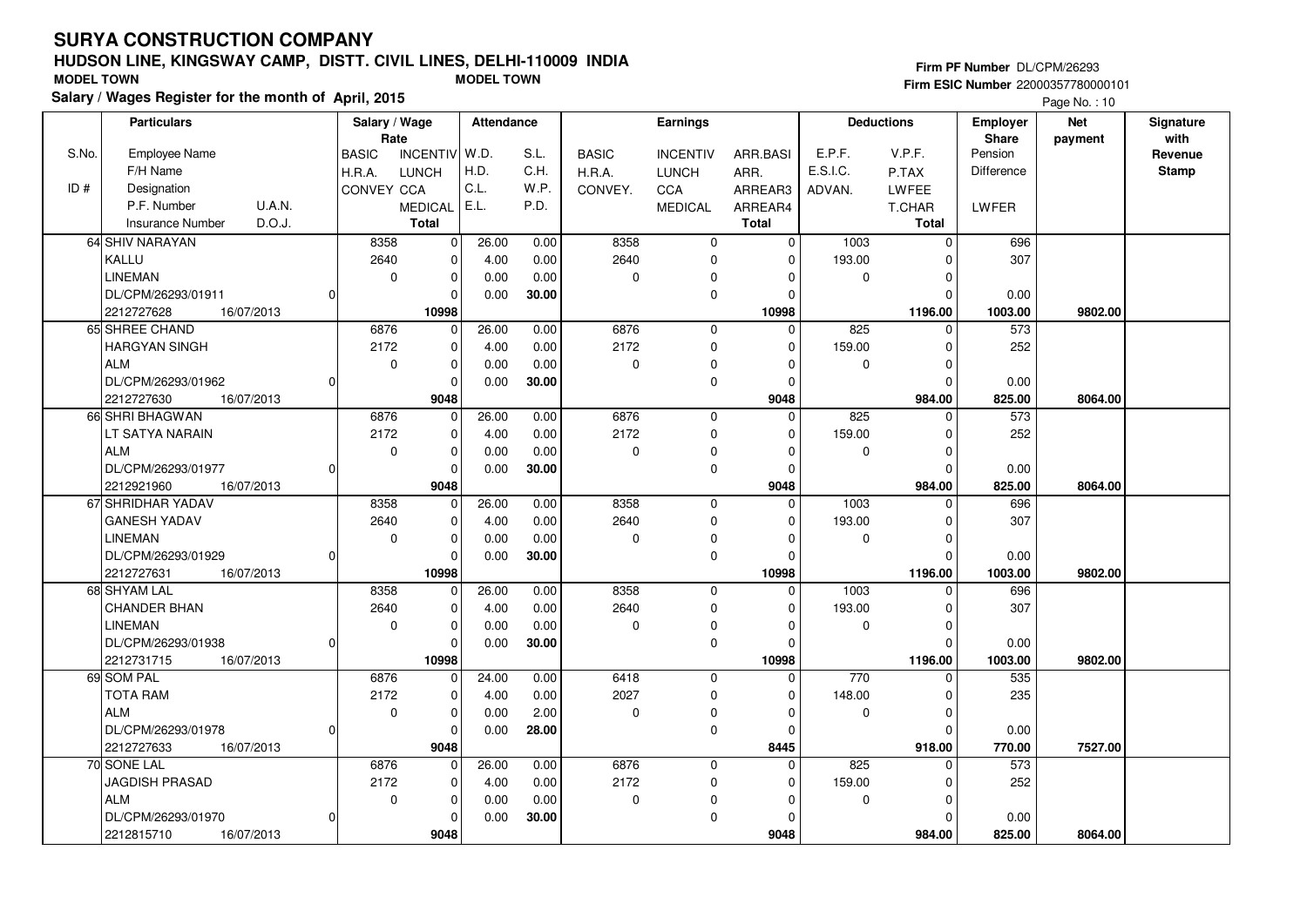## **HUDSON LINE, KINGSWAY CAMP, DISTT. CIVIL LINES, DELHI-110009 INDIASalary / Wages Register for the month of April, 2015 MODEL TOWN MODEL TOWN**

#### **Firm PF Number** DL/CPM/26293

|       | <b>Particulars</b>                | Salary / Wage     |                 | <b>Attendance</b> |       |              | Earnings        |              |             | <b>Deductions</b> | Employer   | Net     | Signature |
|-------|-----------------------------------|-------------------|-----------------|-------------------|-------|--------------|-----------------|--------------|-------------|-------------------|------------|---------|-----------|
|       |                                   | Rate              |                 |                   |       |              |                 |              |             |                   | Share      | payment | with      |
| S.No. | <b>Employee Name</b>              | <b>BASIC</b>      | <b>INCENTIV</b> | W.D.              | S.L.  | <b>BASIC</b> | <b>INCENTIV</b> | ARR.BASI     | E.P.F.      | V.P.F.            | Pension    |         | Revenue   |
|       | F/H Name                          | H.R.A.            | <b>LUNCH</b>    | H.D.              | C.H.  | H.R.A.       | <b>LUNCH</b>    | ARR.         | E.S.I.C.    | P.TAX             | Difference |         | Stamp     |
| ID#   | Designation                       | <b>CONVEY CCA</b> |                 | C.L.              | W.P.  | CONVEY.      | <b>CCA</b>      | ARREAR3      | ADVAN.      | LWFEE             |            |         |           |
|       | P.F. Number<br>U.A.N.             |                   | <b>MEDICAL</b>  | E.L.              | P.D.  |              | <b>MEDICAL</b>  | ARREAR4      |             | T.CHAR            | LWFER      |         |           |
|       | D.O.J.<br><b>Insurance Number</b> |                   | <b>Total</b>    |                   |       |              |                 | <b>Total</b> |             | Total             |            |         |           |
|       | 64 SHIV NARAYAN                   | 8358              | $\pmb{0}$       | 26.00             | 0.00  | 8358         | $\mathbf 0$     | $\Omega$     | 1003        | $\Omega$          | 696        |         |           |
|       | KALLU                             | 2640              | $\pmb{0}$       | 4.00              | 0.00  | 2640         | $\mathbf{0}$    | $\Omega$     | 193.00      | $\Omega$          | 307        |         |           |
|       | <b>LINEMAN</b>                    | $\mathbf 0$       | $\mathbf 0$     | 0.00              | 0.00  | 0            | 0               | <sup>0</sup> | 0           | ŋ                 |            |         |           |
|       | DL/CPM/26293/01911                |                   | 0               | 0.00              | 30.00 |              | 0               | $\Omega$     |             | $\Omega$          | 0.00       |         |           |
|       | 2212727628<br>16/07/2013          |                   | 10998           |                   |       |              |                 | 10998        |             | 1196.00           | 1003.00    | 9802.00 |           |
|       | 65 SHREE CHAND                    | 6876              | 0               | 26.00             | 0.00  | 6876         | $\mathbf 0$     | $\Omega$     | 825         | $\Omega$          | 573        |         |           |
|       | <b>HARGYAN SINGH</b>              | 2172              | $\mathbf 0$     |                   |       | 2172         |                 | $\Omega$     |             | $\Omega$          | 252        |         |           |
|       |                                   |                   |                 | 4.00              | 0.00  |              | $\mathbf 0$     |              | 159.00      |                   |            |         |           |
|       | <b>ALM</b>                        | $\mathbf 0$       | $\mathbf 0$     | 0.00              | 0.00  | $\pmb{0}$    | 0               | $\Omega$     | 0           | $\Omega$          |            |         |           |
|       | DL/CPM/26293/01962                |                   | $\mathbf 0$     | 0.00              | 30.00 |              | 0               | $\Omega$     |             | $\Omega$          | 0.00       |         |           |
|       | 2212727630<br>16/07/2013          |                   | 9048            |                   |       |              |                 | 9048         |             | 984.00            | 825.00     | 8064.00 |           |
|       | 66 SHRI BHAGWAN                   | 6876              | $\Omega$        | 26.00             | 0.00  | 6876         | $\mathbf{0}$    | $\Omega$     | 825         | $\Omega$          | 573        |         |           |
|       | LT SATYA NARAIN                   | 2172              | $\pmb{0}$       | 4.00              | 0.00  | 2172         | $\mathbf 0$     | $\Omega$     | 159.00      | $\Omega$          | 252        |         |           |
|       | <b>ALM</b>                        | $\mathbf 0$       | $\mathbf 0$     | 0.00              | 0.00  | $\pmb{0}$    | 0               | $\Omega$     | 0           | $\Omega$          |            |         |           |
|       | DL/CPM/26293/01977                |                   | $\Omega$        | 0.00              | 30.00 |              | 0               | $\Omega$     |             | $\Omega$          | 0.00       |         |           |
|       | 16/07/2013<br>2212921960          |                   | 9048            |                   |       |              |                 | 9048         |             | 984.00            | 825.00     | 8064.00 |           |
|       | 67 SHRIDHAR YADAV                 | 8358              | $\mathbf 0$     | 26.00             | 0.00  | 8358         | 0               | $\Omega$     | 1003        | $\Omega$          | 696        |         |           |
|       | <b>GANESH YADAV</b>               | 2640              | $\pmb{0}$       | 4.00              | 0.00  | 2640         | 0               | $\Omega$     | 193.00      | $\Omega$          | 307        |         |           |
|       | <b>LINEMAN</b>                    | $\mathbf 0$       | $\mathbf 0$     | 0.00              | 0.00  | 0            | 0               | $\Omega$     | $\mathbf 0$ | O                 |            |         |           |
|       | DL/CPM/26293/01929<br>$\Omega$    |                   | $\Omega$        | 0.00              | 30.00 |              | 0               | $\Omega$     |             | $\Omega$          | 0.00       |         |           |
|       | 2212727631<br>16/07/2013          |                   | 10998           |                   |       |              |                 | 10998        |             | 1196.00           | 1003.00    | 9802.00 |           |
|       | 68 SHYAM LAL                      | 8358              | 0               | 26.00             | 0.00  | 8358         | $\mathbf 0$     | 0            | 1003        | $\Omega$          | 696        |         |           |
|       | CHANDER BHAN                      | 2640              | 0               | 4.00              | 0.00  | 2640         | 0               | $\Omega$     | 193.00      | O                 | 307        |         |           |
|       | <b>LINEMAN</b>                    | $\pmb{0}$         | $\mathbf 0$     | 0.00              | 0.00  | $\pmb{0}$    | 0               | $\Omega$     | $\mathbf 0$ | O                 |            |         |           |
|       | DL/CPM/26293/01938                |                   | $\mathbf 0$     | 0.00              | 30.00 |              | $\mathbf 0$     | $\Omega$     |             | $\Omega$          | 0.00       |         |           |
|       | 2212731715<br>16/07/2013          |                   | 10998           |                   |       |              |                 | 10998        |             | 1196.00           | 1003.00    | 9802.00 |           |
|       | 69 SOM PAL                        | 6876              | $\mathbf 0$     | 24.00             | 0.00  | 6418         | $\mathbf 0$     | $\mathbf 0$  | 770         | $\Omega$          | 535        |         |           |
|       | <b>TOTA RAM</b>                   | 2172              | $\mathbf 0$     | 4.00              | 0.00  | 2027         | $\mathbf 0$     | $\Omega$     | 148.00      | $\Omega$          | 235        |         |           |
|       | <b>ALM</b>                        | $\mathbf 0$       | $\mathbf 0$     | 0.00              | 2.00  | $\mathbf 0$  | 0               | $\Omega$     | $\mathbf 0$ | O                 |            |         |           |
|       | DL/CPM/26293/01978                |                   | $\mathbf 0$     | 0.00              | 28.00 |              | 0               | $\Omega$     |             | $\Omega$          | 0.00       |         |           |
|       | 2212727633<br>16/07/2013          |                   | 9048            |                   |       |              |                 | 8445         |             | 918.00            | 770.00     | 7527.00 |           |
|       | 70 SONE LAL                       | 6876              | 0               | 26.00             | 0.00  | 6876         | $\mathbf 0$     | $\Omega$     | 825         | $\Omega$          | 573        |         |           |
|       | <b>JAGDISH PRASAD</b>             | 2172              | 0               | 4.00              | 0.00  | 2172         | $\mathbf{0}$    | $\Omega$     | 159.00      | O                 | 252        |         |           |
|       | <b>ALM</b>                        | 0                 | $\pmb{0}$       | 0.00              | 0.00  | $\mathbf 0$  | 0               | <sup>0</sup> | 0           | ŋ                 |            |         |           |
|       | DL/CPM/26293/01970                |                   | $\mathbf 0$     | 0.00              | 30.00 |              | 0               | $\Omega$     |             |                   | 0.00       |         |           |
|       |                                   |                   |                 |                   |       |              |                 |              |             |                   |            |         |           |
|       | 16/07/2013<br>2212815710          |                   | 9048            |                   |       |              |                 | 9048         |             | 984.00            | 825.00     | 8064.00 |           |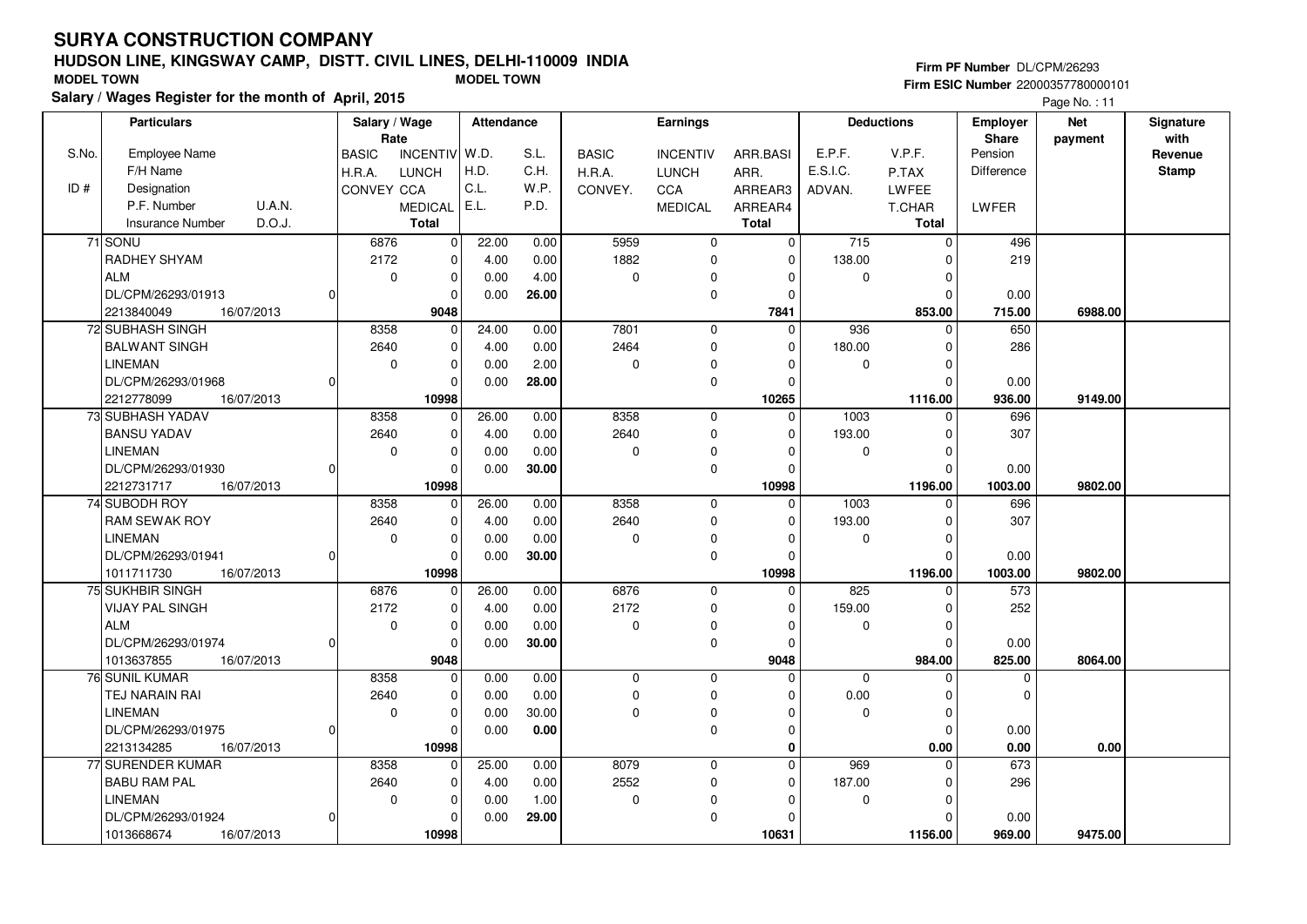## **HUDSON LINE, KINGSWAY CAMP, DISTT. CIVIL LINES, DELHI-110009 INDIASalary / Wages Register for the month of April, 2015 MODEL TOWN MODEL TOWN**

#### **Firm PF Number** DL/CPM/26293 **Firm ESIC Number** 22000357780000101

|       | <b>Particulars</b>                         |          | Salary / Wage<br>Rate |                       | <b>Attendance</b> |              |              | Earnings                   |                  |          | <b>Deductions</b>  | <b>Employer</b><br><b>Share</b> | <b>Net</b><br>payment | Signature<br>with |
|-------|--------------------------------------------|----------|-----------------------|-----------------------|-------------------|--------------|--------------|----------------------------|------------------|----------|--------------------|---------------------------------|-----------------------|-------------------|
| S.No. | <b>Employee Name</b>                       |          | <b>BASIC</b>          | INCENTIV W.D.         |                   | S.L.         | <b>BASIC</b> | <b>INCENTIV</b>            | ARR.BASI         | E.P.F.   | V.P.F.             | Pension                         |                       | Revenue           |
|       | F/H Name                                   |          | H.R.A.                | <b>LUNCH</b>          | H.D.              | C.H.         | H.R.A.       | <b>LUNCH</b>               | ARR.             | E.S.I.C. | P.TAX              | Difference                      |                       | <b>Stamp</b>      |
| ID#   | Designation                                |          | CONVEY CCA            |                       | C.L.              | W.P.         | CONVEY.      | CCA                        | ARREAR3          | ADVAN.   | LWFEE              |                                 |                       |                   |
|       | U.A.N.<br>P.F. Number                      |          |                       | <b>MEDICAL</b>        | E.L.              | P.D.         |              | <b>MEDICAL</b>             | ARREAR4          |          | T.CHAR             | LWFER                           |                       |                   |
|       | Insurance Number<br>D.O.J.                 |          |                       | <b>Total</b>          |                   |              |              |                            | Total            |          | Total              |                                 |                       |                   |
|       | 71 SONU                                    |          | 6876                  | 0                     | 22.00             | 0.00         | 5959         | $\mathbf 0$                | 0                | 715      | $\mathbf 0$        | 496                             |                       |                   |
|       | RADHEY SHYAM                               |          | 2172                  | $\pmb{0}$             | 4.00              | 0.00         | 1882         | 0                          | 0                | 138.00   | $\Omega$           | 219                             |                       |                   |
|       | <b>ALM</b>                                 |          | $\mathbf 0$           | $\pmb{0}$             | 0.00              | 4.00         | $\mathsf 0$  | 0                          | $\Omega$         | 0        | $\mathbf 0$        |                                 |                       |                   |
|       | DL/CPM/26293/01913                         | 0        |                       | $\Omega$              | 0.00              | 26.00        |              | $\mathbf 0$                | $\Omega$         |          | $\Omega$           | 0.00                            |                       |                   |
|       | 2213840049<br>16/07/2013                   |          |                       | 9048                  |                   |              |              |                            | 7841             |          | 853.00             | 715.00                          | 6988.00               |                   |
|       | 72 SUBHASH SINGH                           |          | 8358                  | $\mathbf 0$           | 24.00             | 0.00         | 7801         | $\mathbf 0$                | $\Omega$         | 936      | $\Omega$           | 650                             |                       |                   |
|       | <b>BALWANT SINGH</b>                       |          | 2640                  | $\mathbf 0$           | 4.00              | 0.00         | 2464         | $\mathbf 0$                | $\Omega$         | 180.00   | 0                  | 286                             |                       |                   |
|       | LINEMAN                                    |          | $\mathbf 0$           | $\mathbf 0$           | 0.00              | 2.00         | 0            | 0                          | $\Omega$         | 0        | $\Omega$           |                                 |                       |                   |
|       | DL/CPM/26293/01968                         | $\Omega$ |                       | $\Omega$              | 0.00              | 28.00        |              | 0                          | $\Omega$         |          | $\mathbf 0$        | 0.00                            |                       |                   |
|       | 2212778099<br>16/07/2013                   |          |                       | 10998                 |                   |              |              |                            | 10265            |          | 1116.00            | 936.00                          | 9149.00               |                   |
|       | 73 SUBHASH YADAV                           |          | 8358                  | $\mathbf 0$           | 26.00             | 0.00         | 8358         | $\mathbf 0$                | $\mathbf 0$      | 1003     | $\mathbf 0$        | 696                             |                       |                   |
|       | <b>BANSU YADAV</b>                         |          | 2640                  | 0                     | 4.00              | 0.00         | 2640         | 0                          | $\Omega$         | 193.00   | $\mathbf 0$        | 307                             |                       |                   |
|       | <b>LINEMAN</b>                             |          | $\mathbf 0$           | $\mathbf 0$           | 0.00              | 0.00         | $\mathbf 0$  | $\mathbf 0$                | $\Omega$         | 0        | $\mathbf 0$        |                                 |                       |                   |
|       | DL/CPM/26293/01930                         | $\Omega$ |                       | $\Omega$              | 0.00              | 30.00        |              | $\mathbf 0$                | $\Omega$         |          | $\Omega$           | 0.00                            |                       |                   |
|       | 2212731717<br>16/07/2013                   |          |                       | 10998                 |                   |              |              |                            | 10998            |          | 1196.00            | 1003.00                         | 9802.00               |                   |
|       | 74 SUBODH ROY                              |          | 8358                  | $\mathbf 0$           | 26.00             | 0.00         | 8358         | $\mathbf 0$                | $\Omega$         | 1003     | $\Omega$           | 696                             |                       |                   |
|       | RAM SEWAK ROY                              |          | 2640                  | 0                     | 4.00              | 0.00         | 2640         | $\mathbf 0$                | $\Omega$         | 193.00   | $\Omega$           | 307                             |                       |                   |
|       | <b>LINEMAN</b>                             |          | $\mathbf 0$           | $\mathbf 0$           | 0.00              | 0.00         | 0            | 0                          | $\Omega$         | 0        | $\Omega$           |                                 |                       |                   |
|       | DL/CPM/26293/01941                         | 0        |                       | 0                     | 0.00              | 30.00        |              | $\mathbf 0$                | $\Omega$         |          | $\Omega$           | 0.00                            |                       |                   |
|       | 1011711730<br>16/07/2013                   |          |                       | 10998                 |                   |              |              |                            | 10998            |          | 1196.00            | 1003.00                         | 9802.00               |                   |
|       | 75 SUKHBIR SINGH                           |          | 6876                  | 0                     | 26.00             | 0.00         | 6876         | $\mathbf 0$                | $\Omega$         | 825      | $\Omega$           | 573                             |                       |                   |
|       | <b>VIJAY PAL SINGH</b>                     |          | 2172                  | $\pmb{0}$             | 4.00              | 0.00         | 2172         | $\mathbf 0$                | $\Omega$         | 159.00   | 0                  | 252                             |                       |                   |
|       | <b>ALM</b>                                 |          | $\mathbf 0$           | $\mathbf 0$           | 0.00              | 0.00         | $\mathbf 0$  | 0                          | $\Omega$         | 0        | $\mathbf 0$        |                                 |                       |                   |
|       | DL/CPM/26293/01974                         |          |                       | $\mathbf 0$           | 0.00              | 30.00        |              | $\mathbf 0$                | $\Omega$         |          | $\mathbf 0$        | 0.00                            |                       |                   |
|       | 1013637855<br>16/07/2013<br>76 SUNIL KUMAR |          | 8358                  | 9048                  |                   |              | $\mathbf 0$  | $\mathbf 0$                | 9048<br>$\Omega$ | $\Omega$ | 984.00<br>$\Omega$ | 825.00                          | 8064.00               |                   |
|       | TEJ NARAIN RAI                             |          | 2640                  | $\pmb{0}$<br>0        | 0.00<br>0.00      | 0.00<br>0.00 | $\mathbf 0$  | $\mathbf 0$                | O                | 0.00     | $\Omega$           | $\mathbf 0$<br>$\Omega$         |                       |                   |
|       | LINEMAN                                    |          | $\mathbf 0$           |                       |                   | 30.00        | $\mathbf 0$  |                            | $\Omega$         |          | $\mathbf 0$        |                                 |                       |                   |
|       | DL/CPM/26293/01975                         | $\Omega$ |                       | $\pmb{0}$<br>$\Omega$ | 0.00<br>0.00      | $0.00\,$     |              | $\mathbf 0$<br>$\mathbf 0$ | $\Omega$         | 0        | $\Omega$           | 0.00                            |                       |                   |
|       | 16/07/2013<br>2213134285                   |          |                       | 10998                 |                   |              |              |                            | 0                |          | 0.00               | 0.00                            | 0.00                  |                   |
|       | 77 SURENDER KUMAR                          |          | 8358                  | 0                     | 25.00             | 0.00         | 8079         | $\mathbf 0$                | 0                | 969      | $\Omega$           | 673                             |                       |                   |
|       | <b>BABU RAM PAL</b>                        |          | 2640                  | 0                     |                   | 0.00         | 2552         | 0                          | 0                | 187.00   | $\Omega$           | 296                             |                       |                   |
|       | <b>LINEMAN</b>                             |          | 0                     | $\pmb{0}$             | 4.00<br>0.00      | 1.00         | 0            | 0                          | $\Omega$         | 0        | $\mathbf 0$        |                                 |                       |                   |
|       | DL/CPM/26293/01924                         | 0        |                       | $\mathbf 0$           | 0.00              | 29.00        |              | $\pmb{0}$                  |                  |          | $\Omega$           | 0.00                            |                       |                   |
|       | 1013668674<br>16/07/2013                   |          |                       | 10998                 |                   |              |              |                            | 10631            |          | 1156.00            | 969.00                          | 9475.00               |                   |
|       |                                            |          |                       |                       |                   |              |              |                            |                  |          |                    |                                 |                       |                   |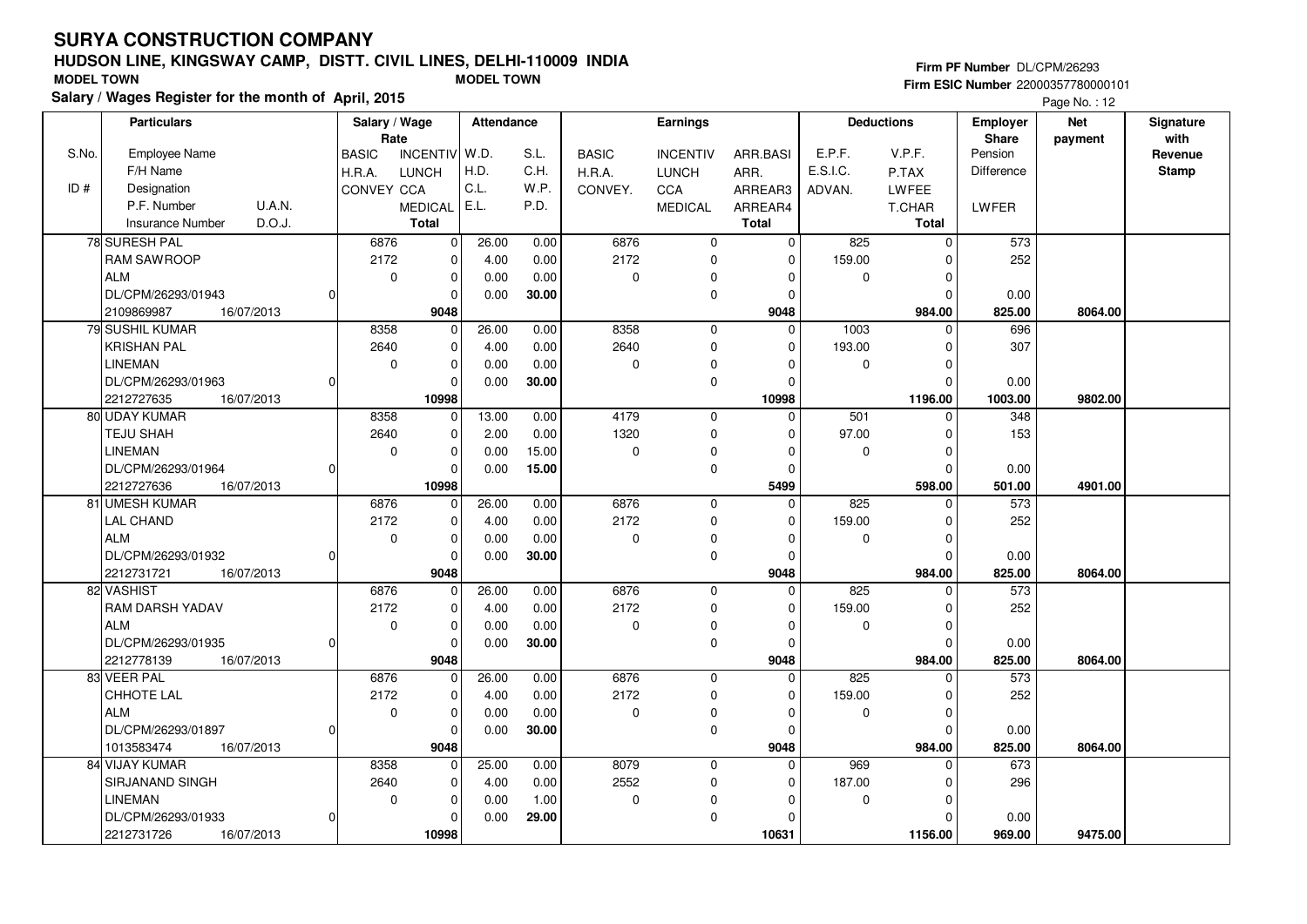## **HUDSON LINE, KINGSWAY CAMP, DISTT. CIVIL LINES, DELHI-110009 INDIASalary / Wages Register for the month of April, 2015 MODEL TOWN MODEL TOWN**

#### **Firm PF Number** DL/CPM/26293

|       | <b>Particulars</b>                |          | Salary / Wage        |                             | <b>Attendance</b> |       |              | <b>Earnings</b> |              |             | <b>Deductions</b> | <b>Employer</b>   | <b>Net</b> | Signature       |
|-------|-----------------------------------|----------|----------------------|-----------------------------|-------------------|-------|--------------|-----------------|--------------|-------------|-------------------|-------------------|------------|-----------------|
| S.No. | <b>Employee Name</b>              |          | Rate<br><b>BASIC</b> | <b>INCENTIV</b>             | W.D.              | S.L.  | <b>BASIC</b> | <b>INCENTIV</b> | ARR.BASI     | E.P.F.      | V.P.F.            | Share<br>Pension  | payment    | with<br>Revenue |
|       | F/H Name                          |          | H.R.A.               | <b>LUNCH</b>                | H.D.              | C.H.  | H.R.A.       | <b>LUNCH</b>    | ARR.         | E.S.I.C.    | P.TAX             | <b>Difference</b> |            | <b>Stamp</b>    |
| ID#   | Designation                       |          | CONVEY CCA           |                             | C.L.              | W.P.  | CONVEY.      | CCA             | ARREAR3      | ADVAN.      | LWFEE             |                   |            |                 |
|       | P.F. Number<br><b>U.A.N.</b>      |          |                      | <b>MEDICAL</b>              | E.L.              | P.D.  |              | <b>MEDICAL</b>  | ARREAR4      |             | T.CHAR            | <b>LWFER</b>      |            |                 |
|       | D.O.J.<br><b>Insurance Number</b> |          |                      | <b>Total</b>                |                   |       |              |                 | <b>Total</b> |             | <b>Total</b>      |                   |            |                 |
|       |                                   |          |                      |                             |                   |       |              |                 | $\mathbf 0$  |             | $\mathbf 0$       |                   |            |                 |
|       | 78 SURESH PAL                     |          | 6876<br>2172         | $\mathbf 0$<br>$\mathbf{0}$ | 26.00             | 0.00  | 6876<br>2172 | $\mathbf 0$     | $\Omega$     | 825         | $\Omega$          | 573               |            |                 |
|       | <b>RAM SAWROOP</b>                |          |                      |                             | 4.00              | 0.00  |              | $\mathbf 0$     |              | 159.00      |                   | 252               |            |                 |
|       | <b>ALM</b>                        |          | $\mathbf 0$          | 0                           | 0.00              | 0.00  | $\mathbf 0$  | 0               | 0            | $\mathbf 0$ | $\Omega$          |                   |            |                 |
|       | DL/CPM/26293/01943                | O        |                      | 0                           | 0.00              | 30.00 |              | $\mathbf 0$     | $\Omega$     |             | $\Omega$          | 0.00              |            |                 |
|       | 2109869987<br>16/07/2013          |          |                      | 9048                        |                   |       |              |                 | 9048         |             | 984.00            | 825.00            | 8064.00    |                 |
|       | 79 SUSHIL KUMAR                   |          | 8358                 | $\mathbf 0$                 | 26.00             | 0.00  | 8358         | $\mathbf 0$     | $\Omega$     | 1003        | $\Omega$          | 696               |            |                 |
|       | <b>KRISHAN PAL</b>                |          | 2640                 | $\mathbf 0$                 | 4.00              | 0.00  | 2640         | $\mathbf 0$     | 0            | 193.00      | $\Omega$          | 307               |            |                 |
|       | <b>LINEMAN</b>                    |          | $\mathbf 0$          | 0                           | 0.00              | 0.00  | $\mathbf 0$  | $\Omega$        | $\Omega$     | $\mathbf 0$ | $\Omega$          |                   |            |                 |
|       | DL/CPM/26293/01963                | $\Omega$ |                      | $\mathbf 0$                 | 0.00              | 30.00 |              | $\mathbf 0$     | $\Omega$     |             | $\Omega$          | 0.00              |            |                 |
|       | 2212727635<br>16/07/2013          |          |                      | 10998                       |                   |       |              |                 | 10998        |             | 1196.00           | 1003.00           | 9802.00    |                 |
|       | 80 UDAY KUMAR                     |          | 8358                 | $\overline{0}$              | 13.00             | 0.00  | 4179         | $\mathbf 0$     | $\Omega$     | 501         | $\Omega$          | 348               |            |                 |
|       | <b>TEJU SHAH</b>                  |          | 2640                 | 0                           | 2.00              | 0.00  | 1320         | $\mathbf 0$     | 0            | 97.00       | 0                 | 153               |            |                 |
|       | <b>LINEMAN</b>                    |          | $\mathbf 0$          | 0                           | 0.00              | 15.00 | 0            | $\Omega$        | $\Omega$     | 0           | $\Omega$          |                   |            |                 |
|       | DL/CPM/26293/01964                | $\Omega$ |                      | 0                           | 0.00              | 15.00 |              | $\mathbf 0$     | $\Omega$     |             | $\Omega$          | 0.00              |            |                 |
|       | 2212727636<br>16/07/2013          |          |                      | 10998                       |                   |       |              |                 | 5499         |             | 598.00            | 501.00            | 4901.00    |                 |
|       | 81 UMESH KUMAR                    |          | 6876                 | $\overline{0}$              | 26.00             | 0.00  | 6876         | $\overline{0}$  | $\Omega$     | 825         | $\Omega$          | 573               |            |                 |
|       | <b>LAL CHAND</b>                  |          | 2172                 | 0                           | 4.00              | 0.00  | 2172         | $\mathbf 0$     | $\Omega$     | 159.00      | $\Omega$          | 252               |            |                 |
|       | <b>ALM</b>                        |          | $\mathbf 0$          | 0                           | 0.00              | 0.00  | 0            | $\mathbf 0$     | $\Omega$     | 0           | $\Omega$          |                   |            |                 |
|       | DL/CPM/26293/01932                | $\Omega$ |                      | $\Omega$                    | 0.00              | 30.00 |              | $\mathbf 0$     | $\Omega$     |             | $\Omega$          | 0.00              |            |                 |
|       | 2212731721<br>16/07/2013          |          |                      | 9048                        |                   |       |              |                 | 9048         |             | 984.00            | 825.00            | 8064.00    |                 |
|       | 82 VASHIST                        |          | 6876                 | 0                           | 26.00             | 0.00  | 6876         | $\mathbf 0$     | $\mathbf 0$  | 825         | $\mathbf 0$       | 573               |            |                 |
|       | RAM DARSH YADAV                   |          | 2172                 | $\mathbf 0$                 | 4.00              | 0.00  | 2172         | $\mathbf 0$     | $\Omega$     | 159.00      | $\Omega$          | 252               |            |                 |
|       | <b>ALM</b>                        |          | $\mathbf 0$          | 0                           | 0.00              | 0.00  | $\Omega$     | $\mathbf 0$     | $\Omega$     | $\mathbf 0$ | $\mathbf 0$       |                   |            |                 |
|       | DL/CPM/26293/01935                | O        |                      | 0                           | 0.00              | 30.00 |              | 0               | 0            |             | $\Omega$          | 0.00              |            |                 |
|       | 2212778139<br>16/07/2013          |          |                      | 9048                        |                   |       |              |                 | 9048         |             | 984.00            | 825.00            | 8064.00    |                 |
|       | 83 VEER PAL                       |          | 6876                 | 0                           | 26.00             | 0.00  | 6876         | $\mathbf 0$     | $\Omega$     | 825         | $\Omega$          | 573               |            |                 |
|       | CHHOTE LAL                        |          | 2172                 | 0                           | 4.00              | 0.00  | 2172         | $\mathbf 0$     | $\Omega$     | 159.00      | $\Omega$          | 252               |            |                 |
|       | <b>ALM</b>                        |          | $\mathbf 0$          | $\mathbf 0$                 | 0.00              | 0.00  | $\mathbf 0$  | $\mathbf 0$     | $\Omega$     | $\mathbf 0$ | $\Omega$          |                   |            |                 |
|       | DL/CPM/26293/01897                | $\Omega$ |                      | $\mathbf 0$                 | 0.00              | 30.00 |              | $\mathbf 0$     | 0            |             | $\Omega$          | 0.00              |            |                 |
|       | 1013583474<br>16/07/2013          |          |                      | 9048                        |                   |       |              |                 | 9048         |             | 984.00            | 825.00            | 8064.00    |                 |
|       | 84 VIJAY KUMAR                    |          | 8358                 | $\mathbf{0}$                | 25.00             | 0.00  | 8079         | $\mathbf 0$     | $\Omega$     | 969         | $\Omega$          | 673               |            |                 |
|       | <b>SIRJANAND SINGH</b>            |          | 2640                 | 0                           | 4.00              | 0.00  | 2552         | $\mathbf 0$     | $\Omega$     | 187.00      | $\Omega$          | 296               |            |                 |
|       | <b>LINEMAN</b>                    |          | $\mathbf 0$          | $\mathbf 0$                 | 0.00              | 1.00  | 0            | $\Omega$        | $\Omega$     | 0           | $\Omega$          |                   |            |                 |
|       | DL/CPM/26293/01933                | $\Omega$ |                      | 0                           | 0.00              | 29.00 |              | $\mathbf 0$     | $\Omega$     |             | $\Omega$          | 0.00              |            |                 |
|       | 2212731726<br>16/07/2013          |          |                      | 10998                       |                   |       |              |                 | 10631        |             | 1156.00           | 969.00            | 9475.00    |                 |